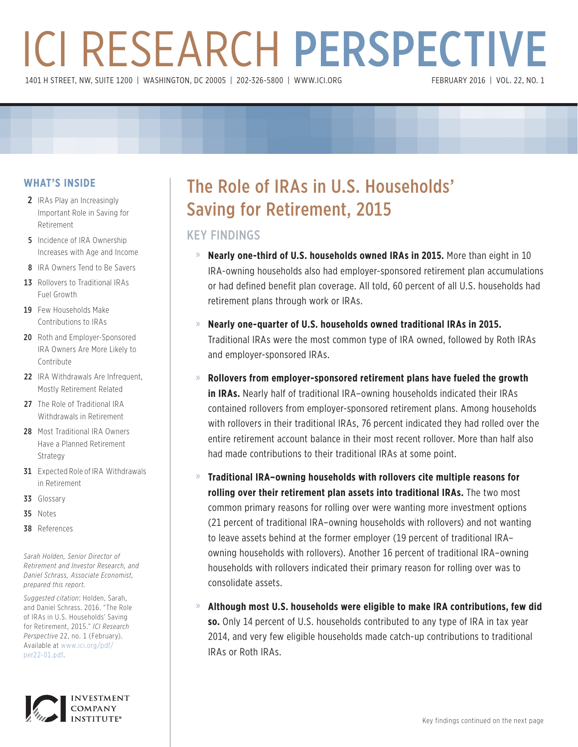# ICI RESEARCH PERSPECTIVE 1401 H STREET, NW, SUITE 1200 | WASHINGTON, DC 20005 | 202-326-5800 | WWW.ICI.ORG

### **WHAT'S INSIDE**

- 2 IRAs Play an Increasingly Important Role in Saving for Retirement
- **5** Incidence of IRA Ownership Increases with Age and Income
- 8 IRA Owners Tend to Be Savers
- 13 Rollovers to Traditional IRAs Fuel Growth
- 19 Few Households Make Contributions to IRAs
- 20 Roth and Employer-Sponsored IRA Owners Are More Likely to Contribute
- 22 IRA Withdrawals Are Infrequent. Mostly Retirement Related
- 27 The Role of Traditional IRA Withdrawals in Retirement
- 28 Most Traditional IRA Owners Have a Planned Retirement Strategy
- **31** Expected Role of IRA Withdrawals in Retirement
- 33 Glossary
- 35 Notes
- 38 References

*Sarah Holden, Senior Director of Retirement and Investor Research, and Daniel Schrass, Associate Economist, prepared this report.*

*Suggested citation*: Holden, Sarah, and Daniel Schrass. 2016. "The Role of IRAs in U.S. Households' Saving for Retirement, 2015." *ICI Research Perspective* 22, no. 1 (February). Available at www.ici.org/pdf/ per22-01.pdf.



## The Role of IRAs in U.S. Households' Saving for Retirement, 2015

### KEY FINDINGS

- » **Nearly one-third of U.S. households owned IRAs in 2015.** More than eight in 10 IRA-owning households also had employer-sponsored retirement plan accumulations or had defined benefit plan coverage. All told, 60 percent of all U.S. households had retirement plans through work or IRAs.
- » **Nearly one-quarter of U.S. households owned traditional IRAs in 2015.** Traditional IRAs were the most common type of IRA owned, followed by Roth IRAs and employer-sponsored IRAs.
- » **Rollovers from employer-sponsored retirement plans have fueled the growth in IRAs.** Nearly half of traditional IRA–owning households indicated their IRAs contained rollovers from employer-sponsored retirement plans. Among households with rollovers in their traditional IRAs, 76 percent indicated they had rolled over the entire retirement account balance in their most recent rollover. More than half also had made contributions to their traditional IRAs at some point.
- » **Traditional IRA–owning households with rollovers cite multiple reasons for rolling over their retirement plan assets into traditional IRAs.** The two most common primary reasons for rolling over were wanting more investment options (21 percent of traditional IRA–owning households with rollovers) and not wanting to leave assets behind at the former employer (19 percent of traditional IRA– owning households with rollovers). Another 16 percent of traditional IRA–owning households with rollovers indicated their primary reason for rolling over was to consolidate assets.
- » **Although most U.S. households were eligible to make IRA contributions, few did so.** Only 14 percent of U.S. households contributed to any type of IRA in tax year 2014, and very few eligible households made catch-up contributions to traditional IRAs or Roth IRAs.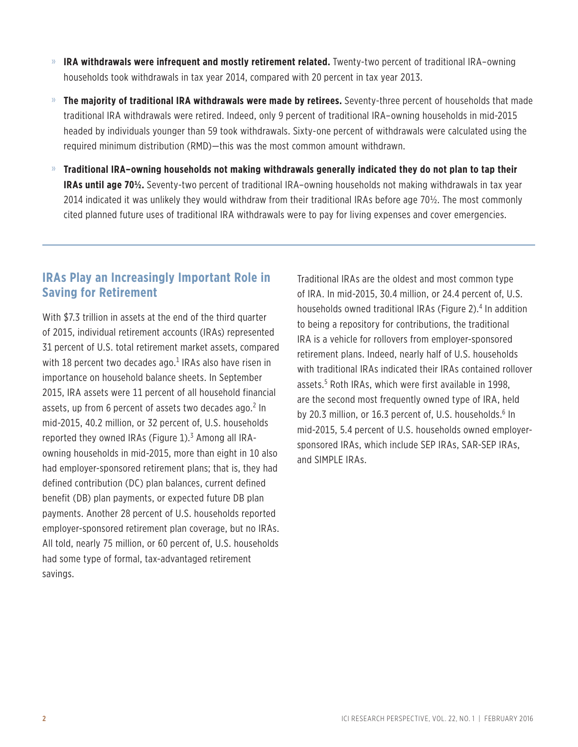- » **IRA withdrawals were infrequent and mostly retirement related.** Twenty-two percent of traditional IRA–owning households took withdrawals in tax year 2014, compared with 20 percent in tax year 2013.
- » **The majority of traditional IRA withdrawals were made by retirees.** Seventy-three percent of households that made traditional IRA withdrawals were retired. Indeed, only 9 percent of traditional IRA–owning households in mid-2015 headed by individuals younger than 59 took withdrawals. Sixty-one percent of withdrawals were calculated using the required minimum distribution (RMD)—this was the most common amount withdrawn.
- » **Traditional IRA–owning households not making withdrawals generally indicated they do not plan to tap their IRAs until age 70½.** Seventy-two percent of traditional IRA–owning households not making withdrawals in tax year 2014 indicated it was unlikely they would withdraw from their traditional IRAs before age 70½. The most commonly cited planned future uses of traditional IRA withdrawals were to pay for living expenses and cover emergencies.

### **IRAs Play an Increasingly Important Role in Saving for Retirement**

With \$7.3 trillion in assets at the end of the third quarter of 2015, individual retirement accounts (IRAs) represented 31 percent of U.S. total retirement market assets, compared with 18 percent two decades ago.<sup>1</sup> IRAs also have risen in importance on household balance sheets. In September 2015, IRA assets were 11 percent of all household financial assets, up from 6 percent of assets two decades ago.<sup>2</sup> In mid-2015, 40.2 million, or 32 percent of, U.S. households reported they owned IRAs (Figure 1).<sup>3</sup> Among all IRAowning households in mid-2015, more than eight in 10 also had employer-sponsored retirement plans; that is, they had defined contribution (DC) plan balances, current defined benefit (DB) plan payments, or expected future DB plan payments. Another 28 percent of U.S. households reported employer-sponsored retirement plan coverage, but no IRAs. All told, nearly 75 million, or 60 percent of, U.S. households had some type of formal, tax-advantaged retirement savings.

Traditional IRAs are the oldest and most common type of IRA. In mid-2015, 30.4 million, or 24.4 percent of, U.S. households owned traditional IRAs (Figure 2).<sup>4</sup> In addition to being a repository for contributions, the traditional IRA is a vehicle for rollovers from employer-sponsored retirement plans. Indeed, nearly half of U.S. households with traditional IRAs indicated their IRAs contained rollover assets.5 Roth IRAs, which were first available in 1998, are the second most frequently owned type of IRA, held by 20.3 million, or 16.3 percent of, U.S. households.<sup>6</sup> In mid-2015, 5.4 percent of U.S. households owned employersponsored IRAs, which include SEP IRAs, SAR-SEP IRAs, and SIMPLE IRAs.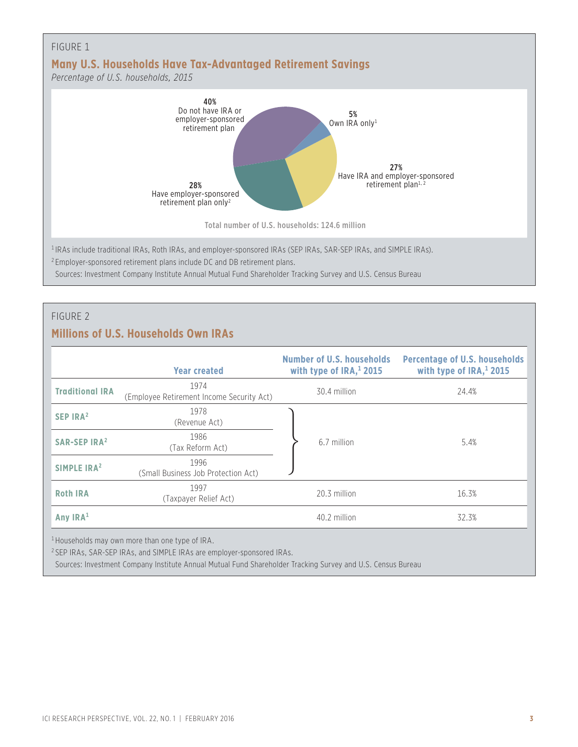

#### FIGURE 2

### **Millions of U.S. Households Own IRAs**

|                                | <b>Year created</b>                                        | <b>Number of U.S. households</b><br>with type of $IRA$ <sup>1</sup> , 2015 | <b>Percentage of U.S. households</b><br>with type of $IRA$ <sup>1</sup> , 2015 |
|--------------------------------|------------------------------------------------------------|----------------------------------------------------------------------------|--------------------------------------------------------------------------------|
| <b>Traditional IRA</b>         | 1974<br>(Employee Retirement Income Security Act)          | 30.4 million                                                               | 24.4%                                                                          |
| SEP IRA <sup>2</sup>           | 1978<br>(Revenue Act)                                      |                                                                            |                                                                                |
| <b>SAR-SEP IRA<sup>2</sup></b> | 1986<br>(Tax Reform Act)                                   | 6.7 million                                                                | 5.4%                                                                           |
| SIMPLE IRA <sup>2</sup>        | 1996<br>(Small Business Job Protection Act)                |                                                                            |                                                                                |
| <b>Roth IRA</b>                | 1997<br>(Taxpayer Relief Act)                              | 20.3 million                                                               | 16.3%                                                                          |
| Any $IRA1$                     |                                                            | 40.2 million                                                               | 32.3%                                                                          |
|                                | <sup>1</sup> Households may own more than one type of IRA. |                                                                            |                                                                                |

<sup>2</sup> SEP IRAs, SAR-SEP IRAs, and SIMPLE IRAs are employer-sponsored IRAs.

Sources: Investment Company Institute Annual Mutual Fund Shareholder Tracking Survey and U.S. Census Bureau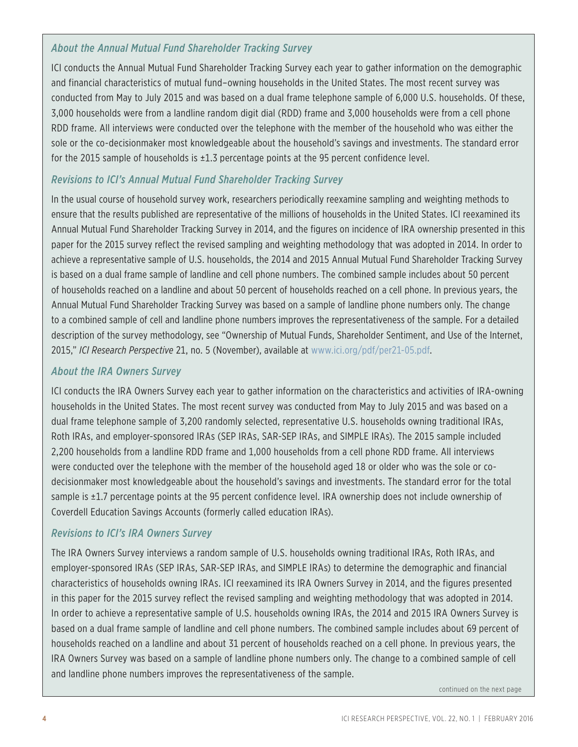### *About the Annual Mutual Fund Shareholder Tracking Survey*

ICI conducts the Annual Mutual Fund Shareholder Tracking Survey each year to gather information on the demographic and financial characteristics of mutual fund–owning households in the United States. The most recent survey was conducted from May to July 2015 and was based on a dual frame telephone sample of 6,000 U.S. households. Of these, 3,000 households were from a landline random digit dial (RDD) frame and 3,000 households were from a cell phone RDD frame. All interviews were conducted over the telephone with the member of the household who was either the sole or the co-decisionmaker most knowledgeable about the household's savings and investments. The standard error for the 2015 sample of households is ±1.3 percentage points at the 95 percent confidence level.

### *Revisions to ICI's Annual Mutual Fund Shareholder Tracking Survey*

In the usual course of household survey work, researchers periodically reexamine sampling and weighting methods to ensure that the results published are representative of the millions of households in the United States. ICI reexamined its Annual Mutual Fund Shareholder Tracking Survey in 2014, and the figures on incidence of IRA ownership presented in this paper for the 2015 survey reflect the revised sampling and weighting methodology that was adopted in 2014. In order to achieve a representative sample of U.S. households, the 2014 and 2015 Annual Mutual Fund Shareholder Tracking Survey is based on a dual frame sample of landline and cell phone numbers. The combined sample includes about 50 percent of households reached on a landline and about 50 percent of households reached on a cell phone. In previous years, the Annual Mutual Fund Shareholder Tracking Survey was based on a sample of landline phone numbers only. The change to a combined sample of cell and landline phone numbers improves the representativeness of the sample. For a detailed description of the survey methodology, see "Ownership of Mutual Funds, Shareholder Sentiment, and Use of the Internet, 2015," *ICI Research Perspective* 21, no. 5 (November), available at www.ici.org/pdf/per21-05.pdf.

### *About the IRA Owners Survey*

ICI conducts the IRA Owners Survey each year to gather information on the characteristics and activities of IRA-owning households in the United States. The most recent survey was conducted from May to July 2015 and was based on a dual frame telephone sample of 3,200 randomly selected, representative U.S. households owning traditional IRAs, Roth IRAs, and employer-sponsored IRAs (SEP IRAs, SAR-SEP IRAs, and SIMPLE IRAs). The 2015 sample included 2,200 households from a landline RDD frame and 1,000 households from a cell phone RDD frame. All interviews were conducted over the telephone with the member of the household aged 18 or older who was the sole or codecisionmaker most knowledgeable about the household's savings and investments. The standard error for the total sample is ±1.7 percentage points at the 95 percent confidence level. IRA ownership does not include ownership of Coverdell Education Savings Accounts (formerly called education IRAs).

### *Revisions to ICI's IRA Owners Survey*

The IRA Owners Survey interviews a random sample of U.S. households owning traditional IRAs, Roth IRAs, and employer-sponsored IRAs (SEP IRAs, SAR-SEP IRAs, and SIMPLE IRAs) to determine the demographic and financial characteristics of households owning IRAs. ICI reexamined its IRA Owners Survey in 2014, and the figures presented in this paper for the 2015 survey reflect the revised sampling and weighting methodology that was adopted in 2014. In order to achieve a representative sample of U.S. households owning IRAs, the 2014 and 2015 IRA Owners Survey is based on a dual frame sample of landline and cell phone numbers. The combined sample includes about 69 percent of households reached on a landline and about 31 percent of households reached on a cell phone. In previous years, the IRA Owners Survey was based on a sample of landline phone numbers only. The change to a combined sample of cell and landline phone numbers improves the representativeness of the sample.

continued on the next page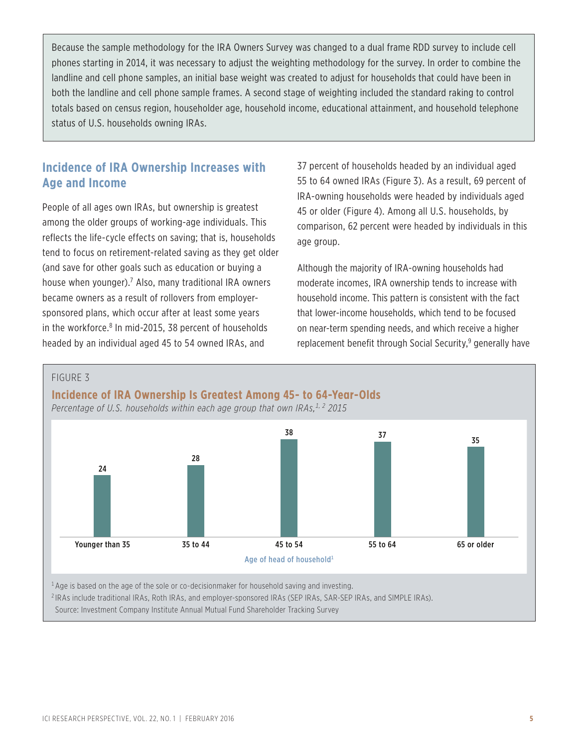Because the sample methodology for the IRA Owners Survey was changed to a dual frame RDD survey to include cell phones starting in 2014, it was necessary to adjust the weighting methodology for the survey. In order to combine the landline and cell phone samples, an initial base weight was created to adjust for households that could have been in both the landline and cell phone sample frames. A second stage of weighting included the standard raking to control totals based on census region, householder age, household income, educational attainment, and household telephone status of U.S. households owning IRAs.

### **Incidence of IRA Ownership Increases with Age and Income**

People of all ages own IRAs, but ownership is greatest among the older groups of working-age individuals. This reflects the life-cycle effects on saving; that is, households tend to focus on retirement-related saving as they get older (and save for other goals such as education or buying a house when younger).<sup>7</sup> Also, many traditional IRA owners became owners as a result of rollovers from employersponsored plans, which occur after at least some years in the workforce.<sup>8</sup> In mid-2015, 38 percent of households headed by an individual aged 45 to 54 owned IRAs, and

37 percent of households headed by an individual aged 55 to 64 owned IRAs (Figure 3). As a result, 69 percent of IRA-owning households were headed by individuals aged 45 or older (Figure 4). Among all U.S. households, by comparison, 62 percent were headed by individuals in this age group.

Although the majority of IRA-owning households had moderate incomes, IRA ownership tends to increase with household income. This pattern is consistent with the fact that lower-income households, which tend to be focused on near-term spending needs, and which receive a higher replacement benefit through Social Security,<sup>9</sup> generally have



ICI RESEARCH PERSPECTIVE, VOL. 22, NO. 1 | FEBRUARY 2016 **5**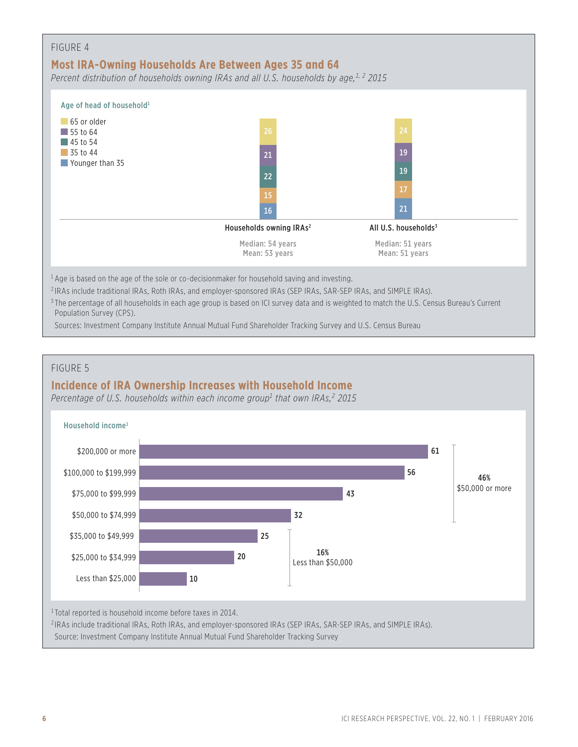| FIGURE 4<br>Most IRA-Owning Households Are Between Ages 35 and 64<br>Percent distribution of households owning IRAs and all U.S. households by age, <sup>1, 2</sup> 2015 |                                     |                                    |  |
|--------------------------------------------------------------------------------------------------------------------------------------------------------------------------|-------------------------------------|------------------------------------|--|
| Age of head of household <sup>1</sup>                                                                                                                                    |                                     |                                    |  |
| 65 or older<br>$\vert$ 55 to 64<br>$\blacksquare$ 45 to 54<br>$\sqrt{35}$ to 44<br>Younger than 35                                                                       | 26<br>21<br>22<br>15<br>16          | 24<br>19<br>19<br>17<br>21         |  |
|                                                                                                                                                                          | Households owning IRAs <sup>2</sup> | All U.S. households <sup>3</sup>   |  |
|                                                                                                                                                                          | Median: 54 years<br>Mean: 53 years  | Median: 51 years<br>Mean: 51 years |  |

 $1$  Age is based on the age of the sole or co-decisionmaker for household saving and investing.

<sup>2</sup> IRAs include traditional IRAs, Roth IRAs, and employer-sponsored IRAs (SEP IRAs, SAR-SEP IRAs, and SIMPLE IRAs).

<sup>3</sup> The percentage of all households in each age group is based on ICI survey data and is weighted to match the U.S. Census Bureau's Current Population Survey (CPS).

Sources: Investment Company Institute Annual Mutual Fund Shareholder Tracking Survey and U.S. Census Bureau

### FIGURE 5

### **Incidence of IRA Ownership Increases with Household Income**

*Percentage of U.S. households within each income group1 that own IRAs,2 2015*

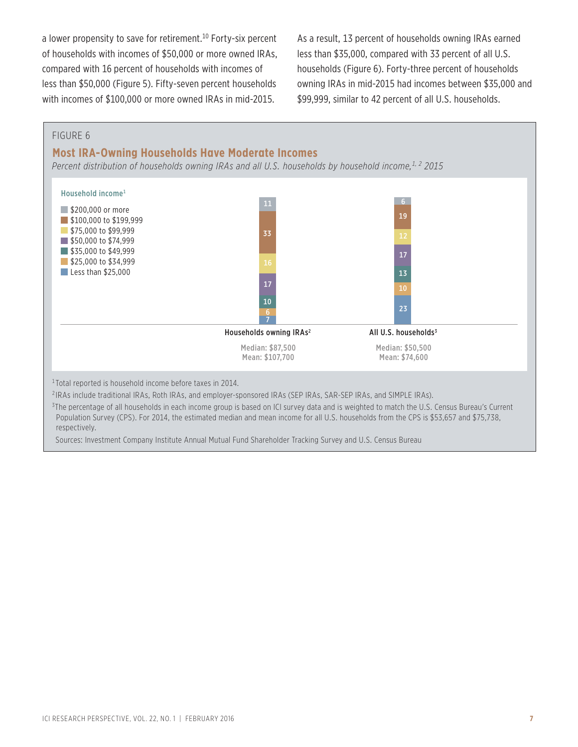a lower propensity to save for retirement.<sup>10</sup> Forty-six percent of households with incomes of \$50,000 or more owned IRAs, compared with 16 percent of households with incomes of less than \$50,000 (Figure 5). Fifty-seven percent households with incomes of \$100,000 or more owned IRAs in mid-2015.

As a result, 13 percent of households owning IRAs earned less than \$35,000, compared with 33 percent of all U.S. households (Figure 6). Forty-three percent of households owning IRAs in mid-2015 had incomes between \$35,000 and \$99,999, similar to 42 percent of all U.S. households.

#### FIGURE 6

#### **Most IRA-Owning Households Have Moderate Incomes**

Percent distribution of households owning IRAs and all U.S. households by household income,<sup>1, 2</sup> 2015



<sup>1</sup> Total reported is household income before taxes in 2014.

<sup>2</sup> IRAs include traditional IRAs, Roth IRAs, and employer-sponsored IRAs (SEP IRAs, SAR-SEP IRAs, and SIMPLE IRAs).

3 The percentage of all households in each income group is based on ICI survey data and is weighted to match the U.S. Census Bureau's Current Population Survey (CPS). For 2014, the estimated median and mean income for all U.S. households from the CPS is \$53,657 and \$75,738, respectively.

Sources: Investment Company Institute Annual Mutual Fund Shareholder Tracking Survey and U.S. Census Bureau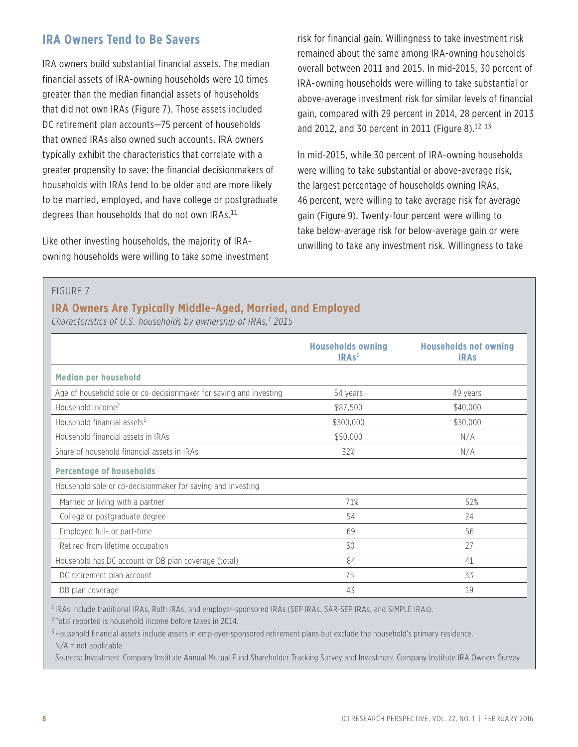### **IRA Owners Tend to Be Savers**

IRA owners build substantial financial assets. The median financial assets of IRA-owning households were 10 times greater than the median financial assets of households that did not own IRAs (Figure 7). Those assets included DC retirement plan accounts—75 percent of households that owned IRAs also owned such accounts. IRA owners typically exhibit the characteristics that correlate with a greater propensity to save: the financial decisionmakers of households with IRAs tend to be older and are more likely to be married, employed, and have college or postgraduate degrees than households that do not own IRAs.<sup>11</sup>

Like other investing households, the majority of IRAowning households were willing to take some investment risk for financial gain. Willingness to take investment risk remained about the same among IRA-owning households overall between 2011 and 2015. In mid-2015, 30 percent of IRA-owning households were willing to take substantial or above-average investment risk for similar levels of financial gain, compared with 29 percent in 2014, 28 percent in 2013 and 2012, and 30 percent in 2011 (Figure 8).<sup>12, 13</sup>

In mid-2015, while 30 percent of IRA-owning households were willing to take substantial or above-average risk, the largest percentage of households owning IRAs, 46 percent, were willing to take average risk for average gain (Figure 9). Twenty-four percent were willing to take below-average risk for below-average gain or were unwilling to take any investment risk. Willingness to take

#### FIGURE 7

### **IRA Owners Are Typically Middle-Aged, Married, and Employed**

*Characteristics of U.S. households by ownership of IRAs,1 2015*

|                                                                    | <b>Households owning</b><br>IRAs <sup>1</sup> | <b>Households not owning</b><br><b>IRAS</b> |
|--------------------------------------------------------------------|-----------------------------------------------|---------------------------------------------|
| <b>Median per household</b>                                        |                                               |                                             |
| Age of household sole or co-decisionmaker for saving and investing | 54 years                                      | 49 years                                    |
| Household income <sup>2</sup>                                      | \$87,500                                      | \$40,000                                    |
| Household financial assets <sup>3</sup>                            | \$300,000                                     | \$30,000                                    |
| Household financial assets in IRAs                                 | \$50,000                                      | N/A                                         |
| Share of household financial assets in IRAs                        | 32%                                           | N/A                                         |
| <b>Percentage of households</b>                                    |                                               |                                             |
| Household sole or co-decisionmaker for saving and investing        |                                               |                                             |
| Married or living with a partner                                   | 71%                                           | 52%                                         |
| College or postgraduate degree                                     | 54                                            | 24                                          |
| Employed full- or part-time                                        | 69                                            | 56                                          |
| Retired from lifetime occupation                                   | 30                                            | 27                                          |
| Household has DC account or DB plan coverage (total)               | 84                                            | 41                                          |
| DC retirement plan account                                         | 75                                            | 33                                          |
| DB plan coverage                                                   | 43                                            | 19                                          |

<sup>1</sup> IRAs include traditional IRAs, Roth IRAs, and employer-sponsored IRAs (SEP IRAs, SAR-SEP IRAs, and SIMPLE IRAs).

<sup>2</sup> Total reported is household income before taxes in 2014.

<sup>3</sup> Household financial assets include assets in employer-sponsored retirement plans but exclude the household's primary residence.  $N/A$  = not applicable

Sources: Investment Company Institute Annual Mutual Fund Shareholder Tracking Survey and Investment Company Institute IRA Owners Survey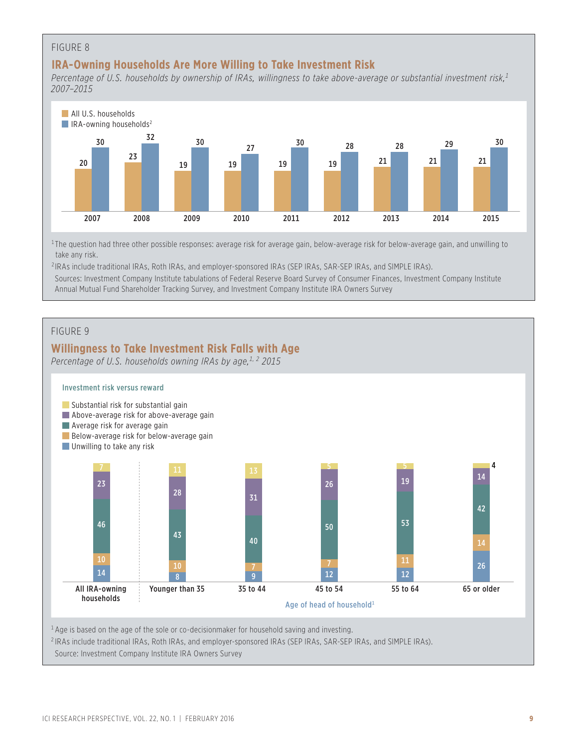### FIGURE 8

### **IRA-Owning Households Are More Willing to Take Investment Risk**

*Percentage of U.S. households by ownership of IRAs, willingness to take above-average or substantial investment risk,1 2007–2015*



<sup>1</sup>The question had three other possible responses: average risk for average gain, below-average risk for below-average gain, and unwilling to take any risk.

IRAs include traditional IRAs, Roth IRAs, and employer-sponsored IRAs (SEP IRAs, SAR-SEP IRAs, and SIMPLE IRAs).

Sources: Investment Company Institute tabulations of Federal Reserve Board Survey of Consumer Finances, Investment Company Institute Annual Mutual Fund Shareholder Tracking Survey, and Investment Company Institute IRA Owners Survey

#### FIGURE 9

### **Willingness to Take Investment Risk Falls with Age**

*Percentage of U.S. households owning IRAs by age,<sup>1, 2</sup> 2015* 



Age is based on the age of the sole or co-decisionmaker for household saving and investing.

IRAs include traditional IRAs, Roth IRAs, and employer-sponsored IRAs (SEP IRAs, SAR-SEP IRAs, and SIMPLE IRAs).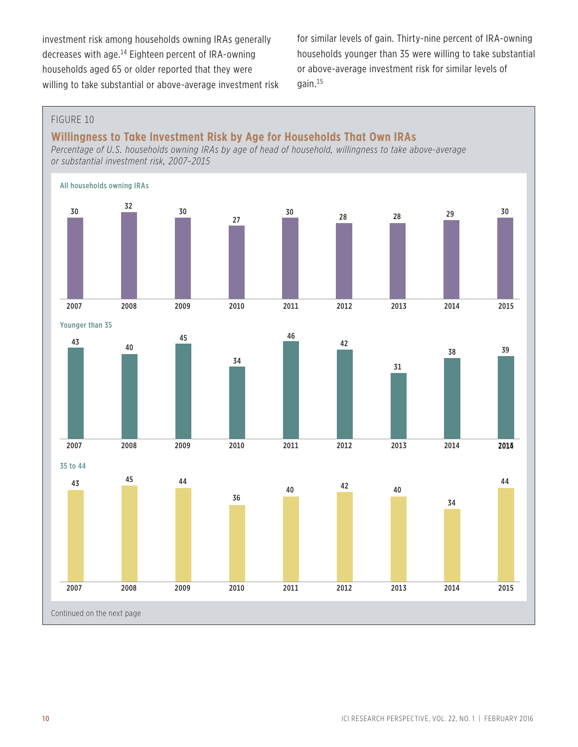investment risk among households owning IRAs generally decreases with age.14 Eighteen percent of IRA-owning households aged 65 or older reported that they were willing to take substantial or above-average investment risk for similar levels of gain. Thirty-nine percent of IRA-owning households younger than 35 were willing to take substantial or above-average investment risk for similar levels of gain.15

### FIGURE 10

### **Willingness to Take Investment Risk by Age for Households That Own IRAs**

*Percentage of U.S. households owning IRAs by age of head of household, willingness to take above-average or substantial investment risk, 2007–2015*

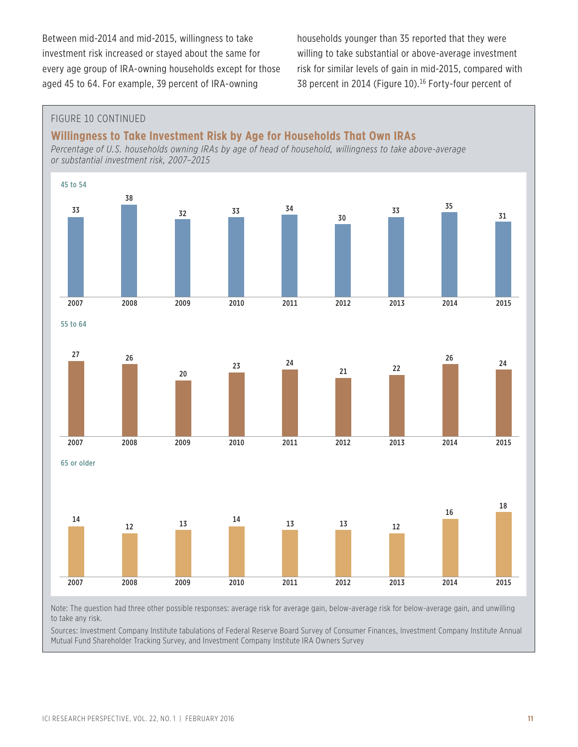Between mid-2014 and mid-2015, willingness to take investment risk increased or stayed about the same for every age group of IRA-owning households except for those aged 45 to 64. For example, 39 percent of IRA-owning

households younger than 35 reported that they were willing to take substantial or above-average investment risk for similar levels of gain in mid-2015, compared with 38 percent in 2014 (Figure 10).<sup>16</sup> Forty-four percent of

#### FIGURE 10 CONTINUED

### **Willingness to Take Investment Risk by Age for Households That Own IRAs**

*Percentage of U.S. households owning IRAs by age of head of household, willingness to take above-average or substantial investment risk, 2007–2015*



Sources: Investment Company Institute tabulations of Federal Reserve Board Survey of Consumer Finances, Investment Company Institute Annual Mutual Fund Shareholder Tracking Survey, and Investment Company Institute IRA Owners Survey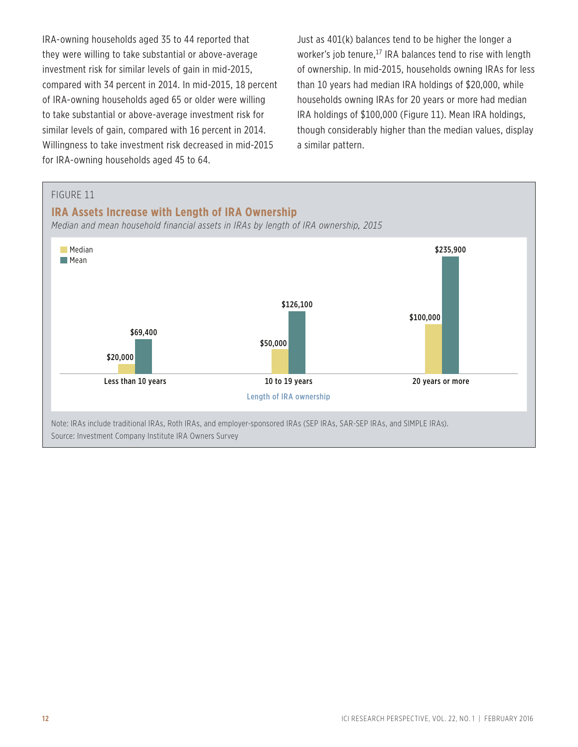IRA-owning households aged 35 to 44 reported that they were willing to take substantial or above-average investment risk for similar levels of gain in mid-2015, compared with 34 percent in 2014. In mid-2015, 18 percent of IRA-owning households aged 65 or older were willing to take substantial or above-average investment risk for similar levels of gain, compared with 16 percent in 2014. Willingness to take investment risk decreased in mid-2015 for IRA-owning households aged 45 to 64.

Just as 401(k) balances tend to be higher the longer a worker's job tenure,<sup>17</sup> IRA balances tend to rise with length of ownership. In mid-2015, households owning IRAs for less than 10 years had median IRA holdings of \$20,000, while households owning IRAs for 20 years or more had median IRA holdings of \$100,000 (Figure 11). Mean IRA holdings, though considerably higher than the median values, display a similar pattern.

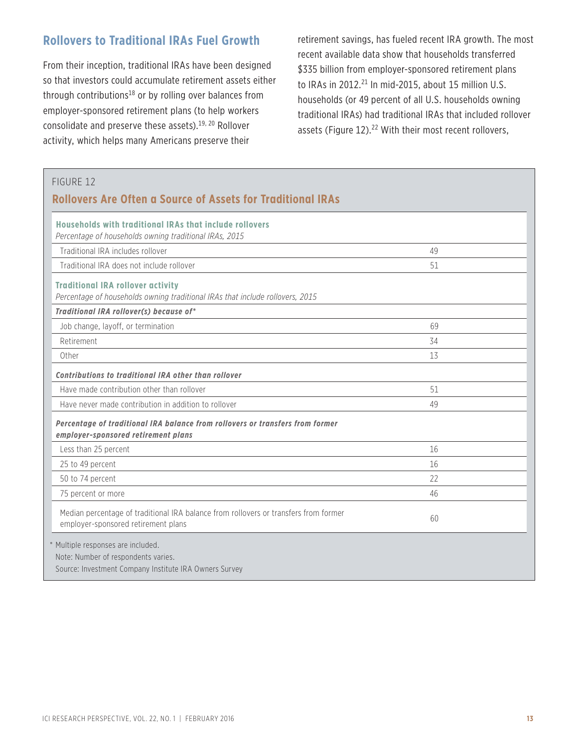### **Rollovers to Traditional IRAs Fuel Growth**

From their inception, traditional IRAs have been designed so that investors could accumulate retirement assets either through contributions<sup>18</sup> or by rolling over balances from employer-sponsored retirement plans (to help workers consolidate and preserve these assets).19, 20 Rollover activity, which helps many Americans preserve their

retirement savings, has fueled recent IRA growth. The most recent available data show that households transferred \$335 billion from employer-sponsored retirement plans to IRAs in 2012. $^{21}$  In mid-2015, about 15 million U.S. households (or 49 percent of all U.S. households owning traditional IRAs) had traditional IRAs that included rollover assets (Figure 12).<sup>22</sup> With their most recent rollovers,

### FIGURE 12 **Rollovers Are Often a Source of Assets for Traditional IRAs Households with traditional IRAs that include rollovers** *Percentage of households owning traditional IRAs, 2015* Traditional IRA includes rollover 49 Traditional IRA does not include rollover 51 **Traditional IRA rollover activity** *Percentage of households owning traditional IRAs that include rollovers, 2015 Traditional IRA rollover(s) because of\** Job change, layoff, or termination 69 Retirement 34 Other 2012 13 *Contributions to traditional IRA other than rollover* Have made contribution other than rollover 51 Have never made contribution in addition to rollover and the state of the state of the 49 *Percentage of traditional IRA balance from rollovers or transfers from former employer-sponsored retirement plans*  Less than 25 percent 16 25 to 49 percent 16 50 to 74 percent 22 75 percent or more 46 Median percentage of traditional IRA balance from rollovers or transfers from former employer-sponsored retirement plans balance from ronovers or transfers from former and the comployer-sponsored retirement plans \* Multiple responses are included. Note: Number of respondents varies. Source: Investment Company Institute IRA Owners Survey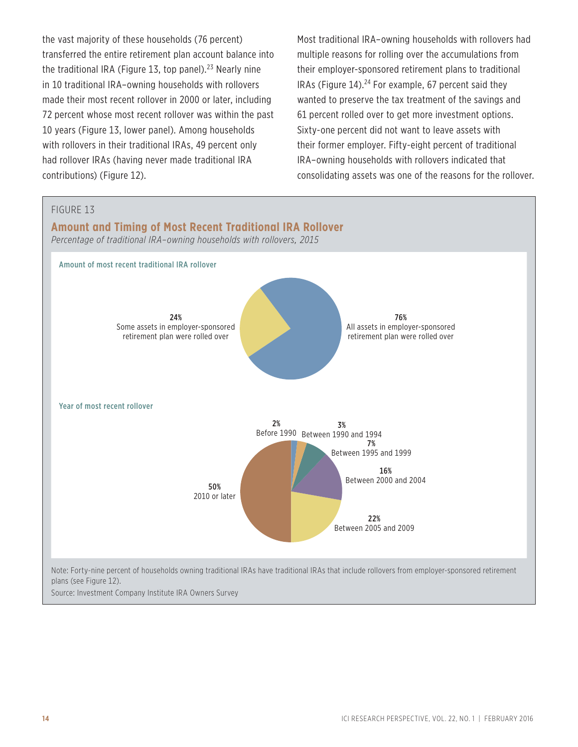the vast majority of these households (76 percent) transferred the entire retirement plan account balance into the traditional IRA (Figure 13, top panel).<sup>23</sup> Nearly nine in 10 traditional IRA–owning households with rollovers made their most recent rollover in 2000 or later, including 72 percent whose most recent rollover was within the past 10 years (Figure 13, lower panel). Among households with rollovers in their traditional IRAs, 49 percent only had rollover IRAs (having never made traditional IRA contributions) (Figure 12).

Most traditional IRA–owning households with rollovers had multiple reasons for rolling over the accumulations from their employer-sponsored retirement plans to traditional IRAs (Figure  $14$ ).<sup>24</sup> For example, 67 percent said they wanted to preserve the tax treatment of the savings and 61 percent rolled over to get more investment options. Sixty-one percent did not want to leave assets with their former employer. Fifty-eight percent of traditional IRA–owning households with rollovers indicated that consolidating assets was one of the reasons for the rollover.

#### FIGURE 13

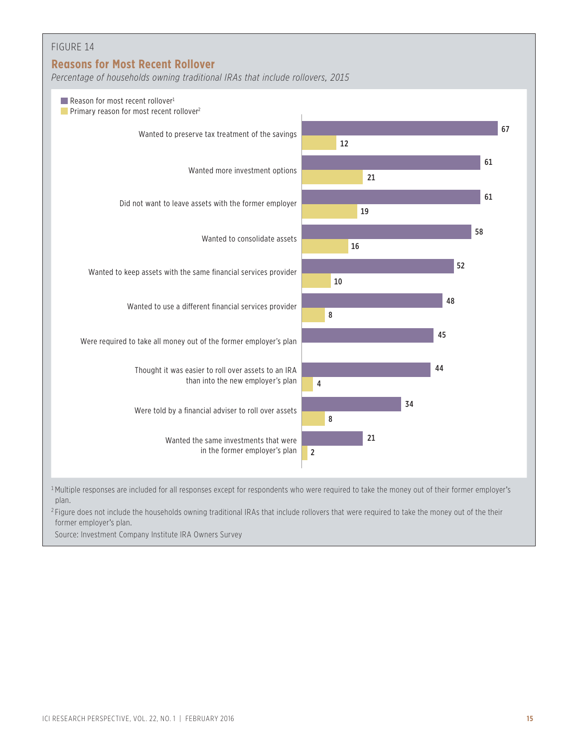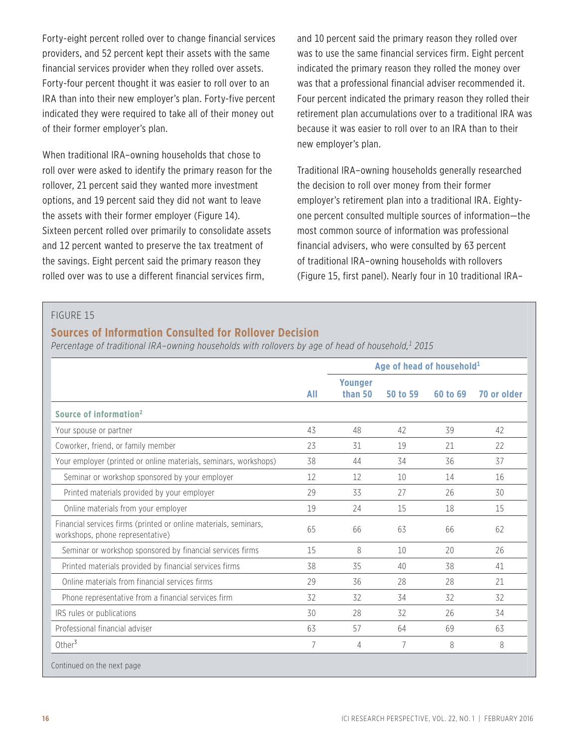Forty-eight percent rolled over to change financial services providers, and 52 percent kept their assets with the same financial services provider when they rolled over assets. Forty-four percent thought it was easier to roll over to an IRA than into their new employer's plan. Forty-five percent indicated they were required to take all of their money out of their former employer's plan.

When traditional IRA–owning households that chose to roll over were asked to identify the primary reason for the rollover, 21 percent said they wanted more investment options, and 19 percent said they did not want to leave the assets with their former employer (Figure 14). Sixteen percent rolled over primarily to consolidate assets and 12 percent wanted to preserve the tax treatment of the savings. Eight percent said the primary reason they rolled over was to use a different financial services firm,

and 10 percent said the primary reason they rolled over was to use the same financial services firm. Eight percent indicated the primary reason they rolled the money over was that a professional financial adviser recommended it. Four percent indicated the primary reason they rolled their retirement plan accumulations over to a traditional IRA was because it was easier to roll over to an IRA than to their new employer's plan.

Traditional IRA–owning households generally researched the decision to roll over money from their former employer's retirement plan into a traditional IRA. Eightyone percent consulted multiple sources of information—the most common source of information was professional financial advisers, who were consulted by 63 percent of traditional IRA–owning households with rollovers (Figure 15, first panel). Nearly four in 10 traditional IRA–

#### FIGURE 15

### **Sources of Information Consulted for Rollover Decision**

*Percentage of traditional IRA–owning households with rollovers by age of head of household,1 2015*

|                                                                                                      |     | Age of head of household <sup>1</sup> |          |          |             |
|------------------------------------------------------------------------------------------------------|-----|---------------------------------------|----------|----------|-------------|
|                                                                                                      | All | <b>Younger</b><br>than 50             | 50 to 59 | 60 to 69 | 70 or older |
| Source of information <sup>2</sup>                                                                   |     |                                       |          |          |             |
| Your spouse or partner                                                                               | 43  | 48                                    | 42       | 39       | 42          |
| Coworker, friend, or family member                                                                   | 23  | 31                                    | 19       | 21       | 22          |
| Your employer (printed or online materials, seminars, workshops)                                     | 38  | 44                                    | 34       | 36       | 37          |
| Seminar or workshop sponsored by your employer                                                       | 12  | 12                                    | 10       | 14       | 16          |
| Printed materials provided by your employer                                                          | 29  | 33                                    | 27       | 26       | 30          |
| Online materials from your employer                                                                  | 19  | 24                                    | 15       | 18       | 15          |
| Financial services firms (printed or online materials, seminars,<br>workshops, phone representative) | 65  | 66                                    | 63       | 66       | 62          |
| Seminar or workshop sponsored by financial services firms                                            | 15  | 8                                     | 10       | 20       | 26          |
| Printed materials provided by financial services firms                                               | 38  | 35                                    | 40       | 38       | 41          |
| Online materials from financial services firms                                                       | 29  | 36                                    | 28       | 28       | 21          |
| Phone representative from a financial services firm                                                  | 32  | 32                                    | 34       | 32       | 32          |
| IRS rules or publications                                                                            | 30  | 28                                    | 32       | 26       | 34          |
| Professional financial adviser                                                                       | 63  | 57                                    | 64       | 69       | 63          |
| Other <sup>3</sup>                                                                                   | 7   | 4                                     | 7        | 8        | 8           |
| Continued on the next page                                                                           |     |                                       |          |          |             |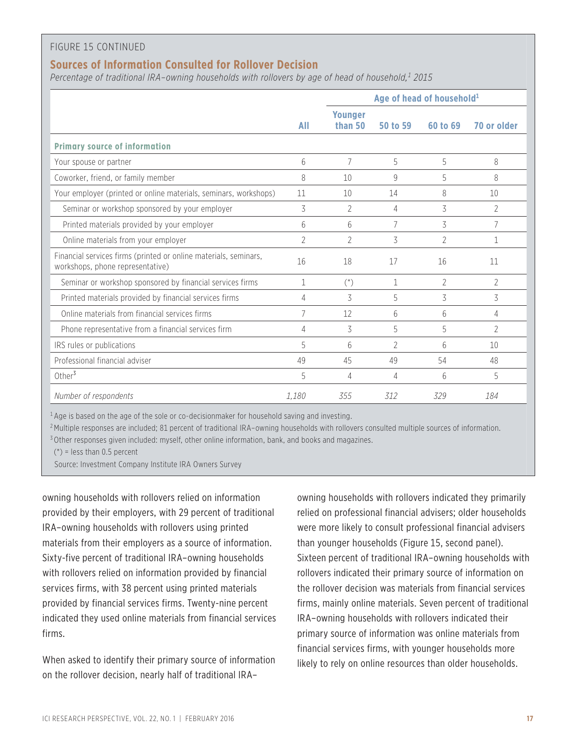#### FIGURE 15 CONTINUED

### **Sources of Information Consulted for Rollover Decision**

*Percentage of traditional IRA–owning households with rollovers by age of head of household,1 2015*

|                                                                                                      |                | Age of head of household <sup>1</sup> |                |                |                |
|------------------------------------------------------------------------------------------------------|----------------|---------------------------------------|----------------|----------------|----------------|
|                                                                                                      | All            | <b>Younger</b><br>than 50             | 50 to 59       | 60 to 69       | 70 or older    |
| <b>Primary source of information</b>                                                                 |                |                                       |                |                |                |
| Your spouse or partner                                                                               | 6              | 7                                     | 5              | 5              | 8              |
| Coworker, friend, or family member                                                                   | 8              | 10                                    | $\mathsf{Q}$   | 5              | 8              |
| Your employer (printed or online materials, seminars, workshops)                                     | 11             | 10                                    | 14             | 8              | 10             |
| Seminar or workshop sponsored by your employer                                                       | 3              | 2                                     | 4              | 3              | $\mathcal{P}$  |
| Printed materials provided by your employer                                                          | 6              | 6                                     | 7              | 3              | 7              |
| Online materials from your employer                                                                  | $\overline{2}$ | $\overline{2}$                        | 3              | $\overline{2}$ | 1              |
| Financial services firms (printed or online materials, seminars,<br>workshops, phone representative) | 16             | 18                                    | 17             | 16             | 11             |
| Seminar or workshop sponsored by financial services firms                                            | $\mathbf{1}$   | $($ <sup>*</sup> )                    | $\mathbf{1}$   | $\overline{2}$ | $\overline{2}$ |
| Printed materials provided by financial services firms                                               | 4              | 3                                     | 5              | 3              | 3              |
| Online materials from financial services firms                                                       | 7              | 12                                    | 6              | 6              | 4              |
| Phone representative from a financial services firm                                                  | 4              | 3                                     | 5              | 5              | $\mathfrak{D}$ |
| IRS rules or publications                                                                            | 5              | 6                                     | $\overline{2}$ | 6              | 10             |
| Professional financial adviser                                                                       | 49             | 45                                    | 49             | 54             | 48             |
| Other <sup>3</sup>                                                                                   | 5              | 4                                     | 4              | 6              | 5              |
| Number of respondents                                                                                | 1.180          | 355                                   | 312            | 329            | 184            |

 $1$  Age is based on the age of the sole or co-decisionmaker for household saving and investing.

<sup>2</sup>Multiple responses are included; 81 percent of traditional IRA-owning households with rollovers consulted multiple sources of information.

<sup>3</sup> Other responses given included: myself, other online information, bank, and books and magazines.

 $(*)$  = less than 0.5 percent

Source: Investment Company Institute IRA Owners Survey

owning households with rollovers relied on information provided by their employers, with 29 percent of traditional IRA–owning households with rollovers using printed materials from their employers as a source of information. Sixty-five percent of traditional IRA–owning households with rollovers relied on information provided by financial services firms, with 38 percent using printed materials provided by financial services firms. Twenty-nine percent indicated they used online materials from financial services firms.

When asked to identify their primary source of information on the rollover decision, nearly half of traditional IRA–

owning households with rollovers indicated they primarily relied on professional financial advisers; older households were more likely to consult professional financial advisers than younger households (Figure 15, second panel). Sixteen percent of traditional IRA–owning households with rollovers indicated their primary source of information on the rollover decision was materials from financial services firms, mainly online materials. Seven percent of traditional IRA–owning households with rollovers indicated their primary source of information was online materials from financial services firms, with younger households more likely to rely on online resources than older households.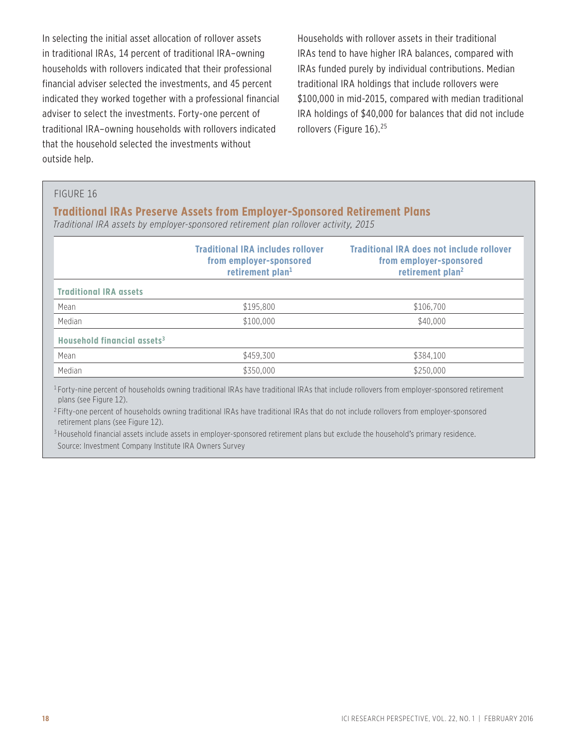In selecting the initial asset allocation of rollover assets in traditional IRAs, 14 percent of traditional IRA–owning households with rollovers indicated that their professional financial adviser selected the investments, and 45 percent indicated they worked together with a professional financial adviser to select the investments. Forty-one percent of traditional IRA–owning households with rollovers indicated that the household selected the investments without outside help.

Households with rollover assets in their traditional IRAs tend to have higher IRA balances, compared with IRAs funded purely by individual contributions. Median traditional IRA holdings that include rollovers were \$100,000 in mid-2015, compared with median traditional IRA holdings of \$40,000 for balances that did not include rollovers (Figure 16).<sup>25</sup>

#### FIGURE 16

#### **Traditional IRAs Preserve Assets from Employer-Sponsored Retirement Plans**

*Traditional IRA assets by employer-sponsored retirement plan rollover activity, 2015*

|                                         | <b>Traditional IRA includes rollover</b><br>from employer-sponsored<br>retirement plan <sup>1</sup> | <b>Traditional IRA does not include rollover</b><br>from employer-sponsored<br>retirement plan <sup>2</sup> |
|-----------------------------------------|-----------------------------------------------------------------------------------------------------|-------------------------------------------------------------------------------------------------------------|
| <b>Traditional IRA assets</b>           |                                                                                                     |                                                                                                             |
| Mean                                    | \$195,800                                                                                           | \$106,700                                                                                                   |
| Median                                  | \$100,000                                                                                           | \$40,000                                                                                                    |
| Household financial assets <sup>3</sup> |                                                                                                     |                                                                                                             |
| Mean                                    | \$459,300                                                                                           | \$384.100                                                                                                   |
| Median                                  | \$350,000                                                                                           | \$250,000                                                                                                   |

<sup>1</sup> Forty-nine percent of households owning traditional IRAs have traditional IRAs that include rollovers from employer-sponsored retirement plans (see Figure 12).

<sup>2</sup> Fifty-one percent of households owning traditional IRAs have traditional IRAs that do not include rollovers from employer-sponsored retirement plans (see Figure 12).

<sup>3</sup> Household financial assets include assets in employer-sponsored retirement plans but exclude the household's primary residence. Source: Investment Company Institute IRA Owners Survey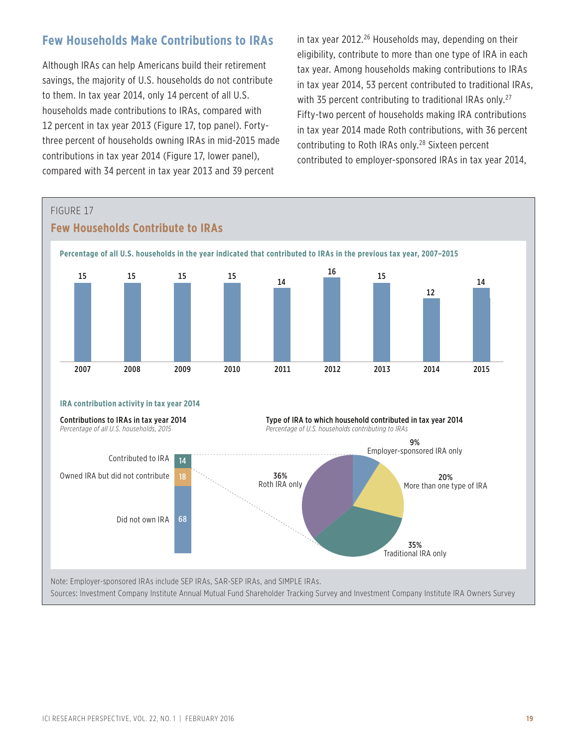### **Few Households Make Contributions to IRAs**

Although IRAs can help Americans build their retirement savings, the majority of U.S. households do not contribute to them. In tax year 2014, only 14 percent of all U.S. households made contributions to IRAs, compared with 12 percent in tax year 2013 (Figure 17, top panel). Fortythree percent of households owning IRAs in mid-2015 made contributions in tax year 2014 (Figure 17, lower panel), compared with 34 percent in tax year 2013 and 39 percent

in tax year  $2012<sup>26</sup>$  Households may, depending on their eligibility, contribute to more than one type of IRA in each tax year. Among households making contributions to IRAs in tax year 2014, 53 percent contributed to traditional IRAs, with 35 percent contributing to traditional IRAs only.<sup>27</sup> Fifty-two percent of households making IRA contributions in tax year 2014 made Roth contributions, with 36 percent contributing to Roth IRAs only.28 Sixteen percent contributed to employer-sponsored IRAs in tax year 2014,

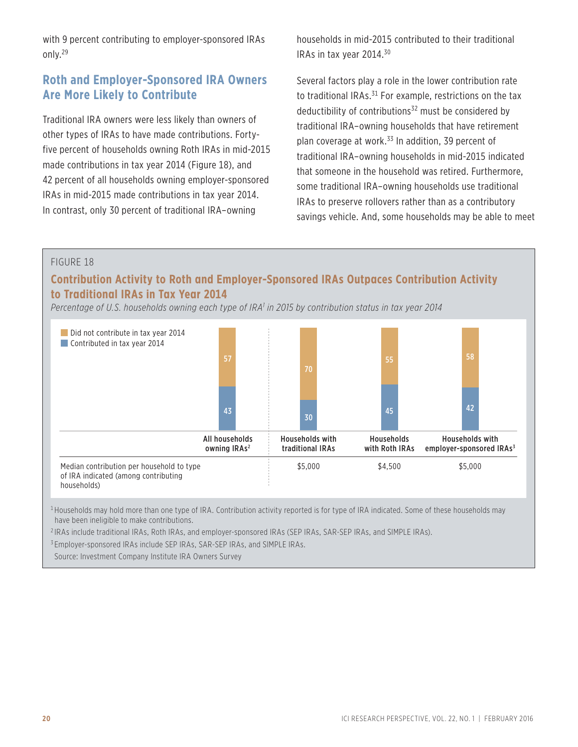with 9 percent contributing to employer-sponsored IRAs only.29

### **Roth and Employer-Sponsored IRA Owners Are More Likely to Contribute**

Traditional IRA owners were less likely than owners of other types of IRAs to have made contributions. Fortyfive percent of households owning Roth IRAs in mid-2015 made contributions in tax year 2014 (Figure 18), and 42 percent of all households owning employer-sponsored IRAs in mid-2015 made contributions in tax year 2014. In contrast, only 30 percent of traditional IRA–owning

households in mid-2015 contributed to their traditional IRAs in tax year 2014.30

Several factors play a role in the lower contribution rate to traditional IRAs.<sup>31</sup> For example, restrictions on the tax deductibility of contributions<sup>32</sup> must be considered by traditional IRA–owning households that have retirement plan coverage at work.<sup>33</sup> In addition, 39 percent of traditional IRA–owning households in mid-2015 indicated that someone in the household was retired. Furthermore, some traditional IRA–owning households use traditional IRAs to preserve rollovers rather than as a contributory savings vehicle. And, some households may be able to meet

### FIGURE 18

### **Contribution Activity to Roth and Employer-Sponsored IRAs Outpaces Contribution Activity to Traditional IRAs in Tax Year 2014**

*Percentage of U.S. households owning each type of IRA1 in 2015 by contribution status in tax year 2014*



<sup>1</sup> Households may hold more than one type of IRA. Contribution activity reported is for type of IRA indicated. Some of these households may have been ineligible to make contributions.

<sup>2</sup> IRAs include traditional IRAs, Roth IRAs, and employer-sponsored IRAs (SEP IRAs, SAR-SEP IRAs, and SIMPLE IRAs).

<sup>3</sup> Employer-sponsored IRAs include SEP IRAs, SAR-SEP IRAs, and SIMPLE IRAs.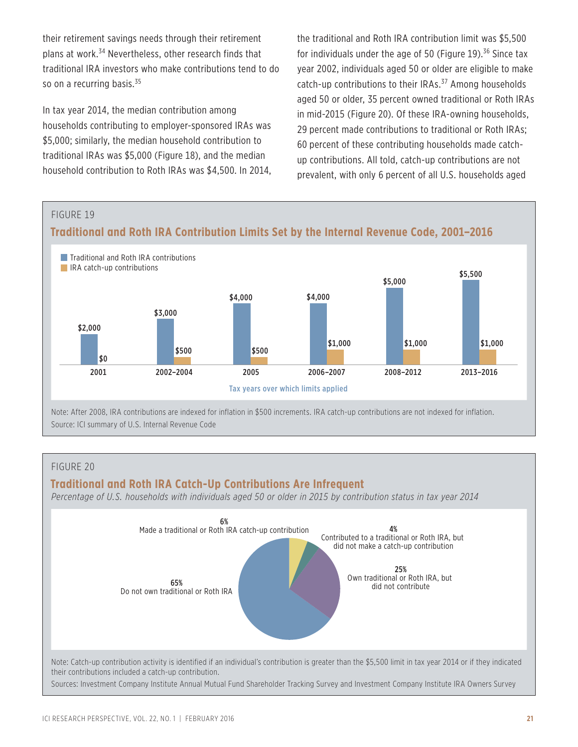their retirement savings needs through their retirement plans at work.34 Nevertheless, other research finds that traditional IRA investors who make contributions tend to do so on a recurring basis.<sup>35</sup>

In tax year 2014, the median contribution among households contributing to employer-sponsored IRAs was \$5,000; similarly, the median household contribution to traditional IRAs was \$5,000 (Figure 18), and the median household contribution to Roth IRAs was \$4,500. In 2014, the traditional and Roth IRA contribution limit was \$5,500 for individuals under the age of 50 (Figure 19). $36$  Since tax year 2002, individuals aged 50 or older are eligible to make catch-up contributions to their IRAs.<sup>37</sup> Among households aged 50 or older, 35 percent owned traditional or Roth IRAs in mid-2015 (Figure 20). Of these IRA-owning households, 29 percent made contributions to traditional or Roth IRAs; 60 percent of these contributing households made catchup contributions. All told, catch-up contributions are not prevalent, with only 6 percent of all U.S. households aged



#### FIGURE 20

#### **Traditional and Roth IRA Catch-Up Contributions Are Infrequent**

*Percentage of U.S. households with individuals aged 50 or older in 2015 by contribution status in tax year 2014*

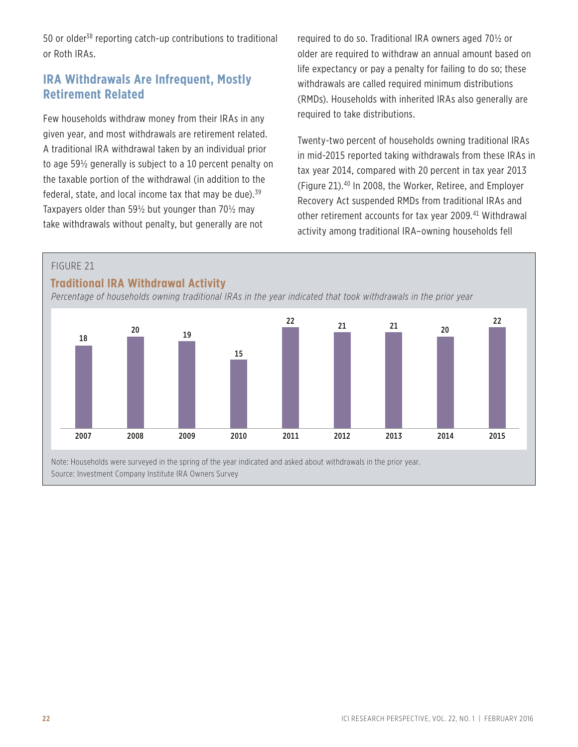50 or older<sup>38</sup> reporting catch-up contributions to traditional or Roth IRAs.

### **IRA Withdrawals Are Infrequent, Mostly Retirement Related**

Few households withdraw money from their IRAs in any given year, and most withdrawals are retirement related. A traditional IRA withdrawal taken by an individual prior to age 59½ generally is subject to a 10 percent penalty on the taxable portion of the withdrawal (in addition to the federal, state, and local income tax that may be due). $39$ Taxpayers older than 59½ but younger than 70½ may take withdrawals without penalty, but generally are not

required to do so. Traditional IRA owners aged 70½ or older are required to withdraw an annual amount based on life expectancy or pay a penalty for failing to do so; these withdrawals are called required minimum distributions (RMDs). Households with inherited IRAs also generally are required to take distributions.

Twenty-two percent of households owning traditional IRAs in mid-2015 reported taking withdrawals from these IRAs in tax year 2014, compared with 20 percent in tax year 2013 (Figure 21).40 In 2008, the Worker, Retiree, and Employer Recovery Act suspended RMDs from traditional IRAs and other retirement accounts for tax year 2009.<sup>41</sup> Withdrawal activity among traditional IRA–owning households fell

### FIGURE 21

### **Traditional IRA Withdrawal Activity**

*Percentage of households owning traditional IRAs in the year indicated that took withdrawals in the prior year*

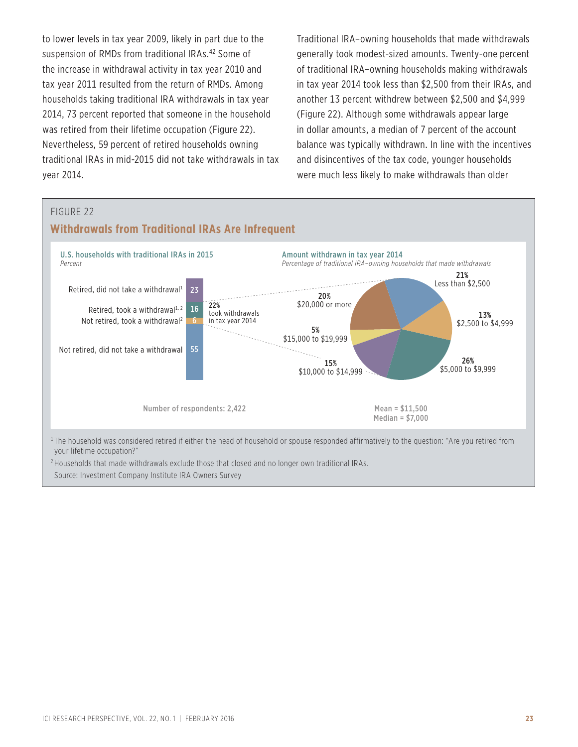to lower levels in tax year 2009, likely in part due to the suspension of RMDs from traditional IRAs.<sup>42</sup> Some of the increase in withdrawal activity in tax year 2010 and tax year 2011 resulted from the return of RMDs. Among households taking traditional IRA withdrawals in tax year 2014, 73 percent reported that someone in the household was retired from their lifetime occupation (Figure 22). Nevertheless, 59 percent of retired households owning traditional IRAs in mid-2015 did not take withdrawals in tax year 2014.

Traditional IRA–owning households that made withdrawals generally took modest-sized amounts. Twenty-one percent of traditional IRA–owning households making withdrawals in tax year 2014 took less than \$2,500 from their IRAs, and another 13 percent withdrew between \$2,500 and \$4,999 (Figure 22). Although some withdrawals appear large in dollar amounts, a median of 7 percent of the account balance was typically withdrawn. In line with the incentives and disincentives of the tax code, younger households were much less likely to make withdrawals than older



your lifetime occupation?" <sup>2</sup> Households that made withdrawals exclude those that closed and no longer own traditional IRAs.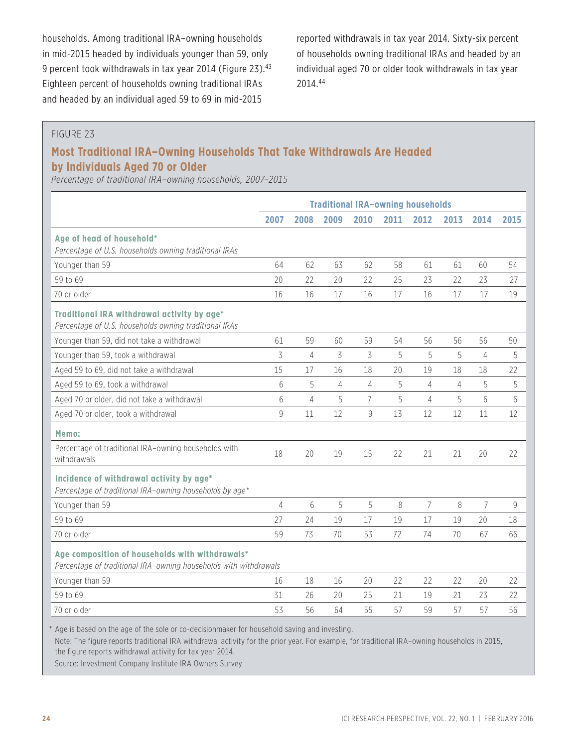households. Among traditional IRA–owning households in mid-2015 headed by individuals younger than 59, only 9 percent took withdrawals in tax year 2014 (Figure 23).<sup>43</sup> Eighteen percent of households owning traditional IRAs and headed by an individual aged 59 to 69 in mid-2015

reported withdrawals in tax year 2014. Sixty-six percent of households owning traditional IRAs and headed by an individual aged 70 or older took withdrawals in tax year 2014.44

### FIGURE 23

### **Most Traditional IRA–Owning Households That Take Withdrawals Are Headed by Individuals Aged 70 or Older**

*Percentage of traditional IRA–owning households, 2007–2015*

|                                                                                                                     | <b>Traditional IRA-owning households</b> |                |      |                |      |                |      |                |      |
|---------------------------------------------------------------------------------------------------------------------|------------------------------------------|----------------|------|----------------|------|----------------|------|----------------|------|
|                                                                                                                     | 2007                                     | 2008           | 2009 | 2010           | 2011 | 2012           | 2013 | 2014           | 2015 |
| Age of head of household*<br>Percentage of U.S. households owning traditional IRAs                                  |                                          |                |      |                |      |                |      |                |      |
| Younger than 59                                                                                                     | 64                                       | 62             | 63   | 62             | 58   | 61             | 61   | 60             | 54   |
| 59 to 69                                                                                                            | 20                                       | 22             | 20   | 22             | 25   | 23             | 22   | 23             | 27   |
| 70 or older                                                                                                         | 16                                       | 16             | 17   | 16             | 17   | 16             | 17   | 17             | 19   |
| Traditional IRA withdrawal activity by age*<br>Percentage of U.S. households owning traditional IRAs                |                                          |                |      |                |      |                |      |                |      |
| Younger than 59, did not take a withdrawal                                                                          | 61                                       | 59             | 60   | 59             | 54   | 56             | 56   | 56             | 50   |
| Younger than 59, took a withdrawal                                                                                  | 3                                        | $\overline{4}$ | 3    | 3              | 5    | 5              | 5    | 4              | 5    |
| Aged 59 to 69, did not take a withdrawal                                                                            | 15                                       | 17             | 16   | 18             | 20   | 19             | 18   | 18             | 22   |
| Aged 59 to 69, took a withdrawal                                                                                    | 6                                        | 5              | 4    | $\overline{4}$ | 5    | 4              | 4    | 5              | 5    |
| Aged 70 or older, did not take a withdrawal                                                                         | 6                                        | $\overline{4}$ | 5    | $\overline{7}$ | 5    | 4              | 5    | 6              | 6    |
| Aged 70 or older, took a withdrawal                                                                                 | 9                                        | 11             | 12   | 9              | 13   | 12             | 12   | 11             | 12   |
| Memo:                                                                                                               |                                          |                |      |                |      |                |      |                |      |
| Percentage of traditional IRA-owning households with<br>withdrawals                                                 | 18                                       | 20             | 19   | 15             | 22   | 21             | 21   | 20             | 22   |
| Incidence of withdrawal activity by age*<br>Percentage of traditional IRA-owning households by age*                 |                                          |                |      |                |      |                |      |                |      |
| Younger than 59                                                                                                     | $\overline{4}$                           | 6              | 5    | 5              | 8    | $\overline{7}$ | 8    | $\overline{7}$ | 9    |
| 59 to 69                                                                                                            | 27                                       | 24             | 19   | 17             | 19   | 17             | 19   | 20             | 18   |
| 70 or older                                                                                                         | 59                                       | 73             | 70   | 53             | 72   | 74             | 70   | 67             | 66   |
| Age composition of households with withdrawals*<br>Percentage of traditional IRA-owning households with withdrawals |                                          |                |      |                |      |                |      |                |      |
| Younger than 59                                                                                                     | 16                                       | 18             | 16   | 20             | 22   | 22             | 22   | 20             | 22   |
| 59 to 69                                                                                                            | 31                                       | 26             | 20   | 25             | 21   | 19             | 21   | 23             | 22   |
| 70 or older                                                                                                         | 53                                       | 56             | 64   | 55             | 57   | 59             | 57   | 57             | 56   |

\* Age is based on the age of the sole or co-decisionmaker for household saving and investing.

Note: The figure reports traditional IRA withdrawal activity for the prior year. For example, for traditional IRA–owning households in 2015, the figure reports withdrawal activity for tax year 2014.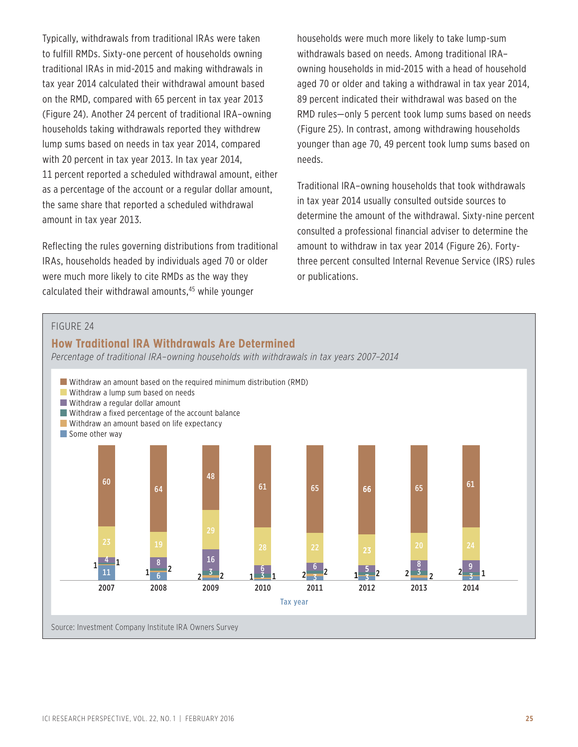Typically, withdrawals from traditional IRAs were taken to fulfill RMDs. Sixty-one percent of households owning traditional IRAs in mid-2015 and making withdrawals in tax year 2014 calculated their withdrawal amount based on the RMD, compared with 65 percent in tax year 2013 (Figure 24). Another 24 percent of traditional IRA–owning households taking withdrawals reported they withdrew lump sums based on needs in tax year 2014, compared with 20 percent in tax year 2013. In tax year 2014, 11 percent reported a scheduled withdrawal amount, either as a percentage of the account or a regular dollar amount, the same share that reported a scheduled withdrawal amount in tax year 2013.

Reflecting the rules governing distributions from traditional IRAs, households headed by individuals aged 70 or older were much more likely to cite RMDs as the way they calculated their withdrawal amounts,<sup>45</sup> while younger

households were much more likely to take lump-sum withdrawals based on needs. Among traditional IRA– owning households in mid-2015 with a head of household aged 70 or older and taking a withdrawal in tax year 2014, 89 percent indicated their withdrawal was based on the RMD rules—only 5 percent took lump sums based on needs (Figure 25). In contrast, among withdrawing households younger than age 70, 49 percent took lump sums based on needs.

Traditional IRA–owning households that took withdrawals in tax year 2014 usually consulted outside sources to determine the amount of the withdrawal. Sixty-nine percent consulted a professional financial adviser to determine the amount to withdraw in tax year 2014 (Figure 26). Fortythree percent consulted Internal Revenue Service (IRS) rules or publications.

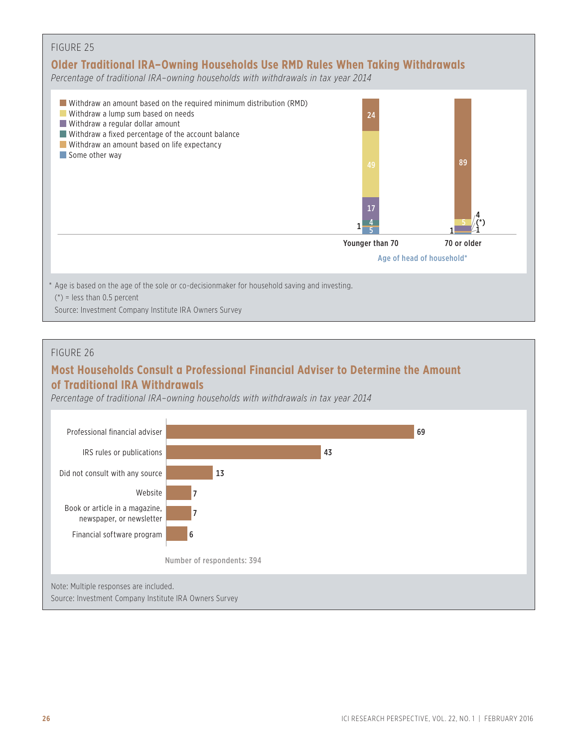

#### FIGURE 26

### **Most Households Consult a Professional Financial Adviser to Determine the Amount of Traditional IRA Withdrawals**

*Percentage of traditional IRA–owning households with withdrawals in tax year 2014*

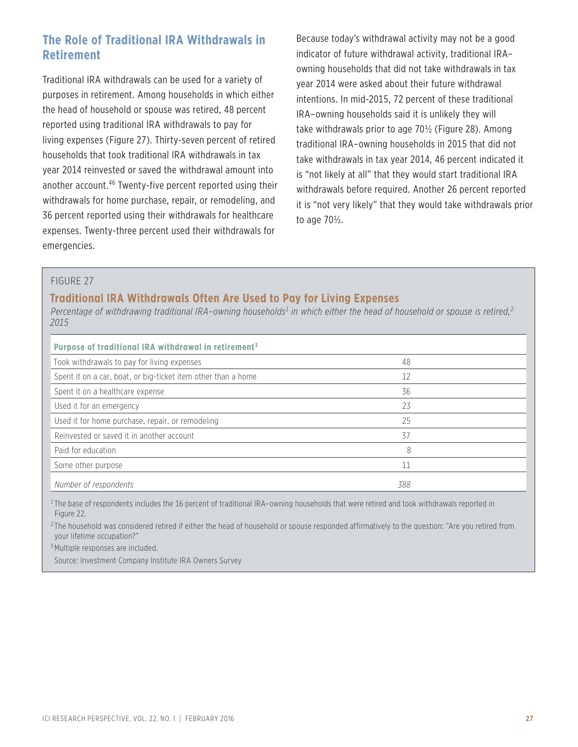### **The Role of Traditional IRA Withdrawals in Retirement**

Traditional IRA withdrawals can be used for a variety of purposes in retirement. Among households in which either the head of household or spouse was retired, 48 percent reported using traditional IRA withdrawals to pay for living expenses (Figure 27). Thirty-seven percent of retired households that took traditional IRA withdrawals in tax year 2014 reinvested or saved the withdrawal amount into another account.<sup>46</sup> Twenty-five percent reported using their withdrawals for home purchase, repair, or remodeling, and 36 percent reported using their withdrawals for healthcare expenses. Twenty-three percent used their withdrawals for emergencies.

Because today's withdrawal activity may not be a good indicator of future withdrawal activity, traditional IRA– owning households that did not take withdrawals in tax year 2014 were asked about their future withdrawal intentions. In mid-2015, 72 percent of these traditional IRA–owning households said it is unlikely they will take withdrawals prior to age 70½ (Figure 28). Among traditional IRA–owning households in 2015 that did not take withdrawals in tax year 2014, 46 percent indicated it is "not likely at all" that they would start traditional IRA withdrawals before required. Another 26 percent reported it is "not very likely" that they would take withdrawals prior to age 70½.

#### FIGURE 27

### **Traditional IRA Withdrawals Often Are Used to Pay for Living Expenses**

Percentage of withdrawing traditional IRA–owning households<sup>1</sup> in which either the head of household or spouse is retired,<sup>2</sup> *2015* 

| Purpose of traditional IRA withdrawal in retirement <sup>3</sup> |     |  |
|------------------------------------------------------------------|-----|--|
| Took withdrawals to pay for living expenses                      | 48  |  |
| Spent it on a car, boat, or big-ticket item other than a home    | 12  |  |
| Spent it on a healthcare expense                                 | 36  |  |
| Used it for an emergency                                         | 23  |  |
| Used it for home purchase, repair, or remodeling                 | 25  |  |
| Reinvested or saved it in another account                        | 37  |  |
| Paid for education                                               | 8   |  |
| Some other purpose                                               |     |  |
| Number of respondents                                            | 388 |  |

<sup>1</sup>The base of respondents includes the 16 percent of traditional IRA-owning households that were retired and took withdrawals reported in Figure 22.

<sup>2</sup>The household was considered retired if either the head of household or spouse responded affirmatively to the question: "Are you retired from your lifetime occupation?"

<sup>3</sup> Multiple responses are included.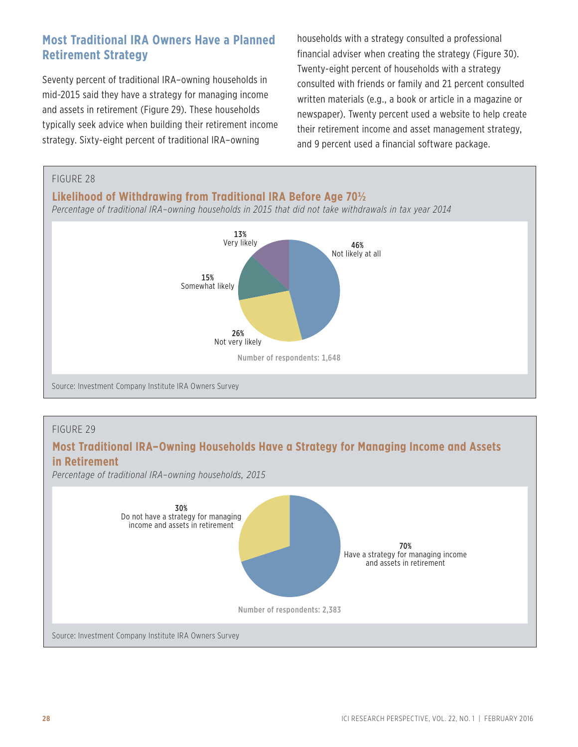### **Most Traditional IRA Owners Have a Planned Retirement Strategy**

Seventy percent of traditional IRA–owning households in mid-2015 said they have a strategy for managing income and assets in retirement (Figure 29). These households typically seek advice when building their retirement income strategy. Sixty-eight percent of traditional IRA–owning

households with a strategy consulted a professional financial adviser when creating the strategy (Figure 30). Twenty-eight percent of households with a strategy consulted with friends or family and 21 percent consulted written materials (e.g., a book or article in a magazine or newspaper). Twenty percent used a website to help create their retirement income and asset management strategy, and 9 percent used a financial software package.



### FIGURE 29

### **Most Traditional IRA–Owning Households Have a Strategy for Managing Income and Assets in Retirement**

*Percentage of traditional IRA–owning households, 2015*

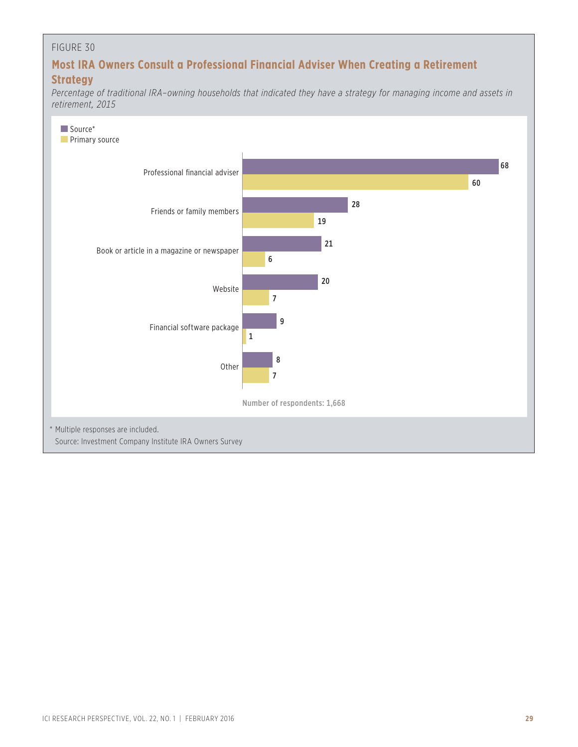### FIGURE 30

### **Most IRA Owners Consult a Professional Financial Adviser When Creating a Retirement Strategy**

*Percentage of traditional IRA–owning households that indicated they have a strategy for managing income and assets in retirement, 2015*

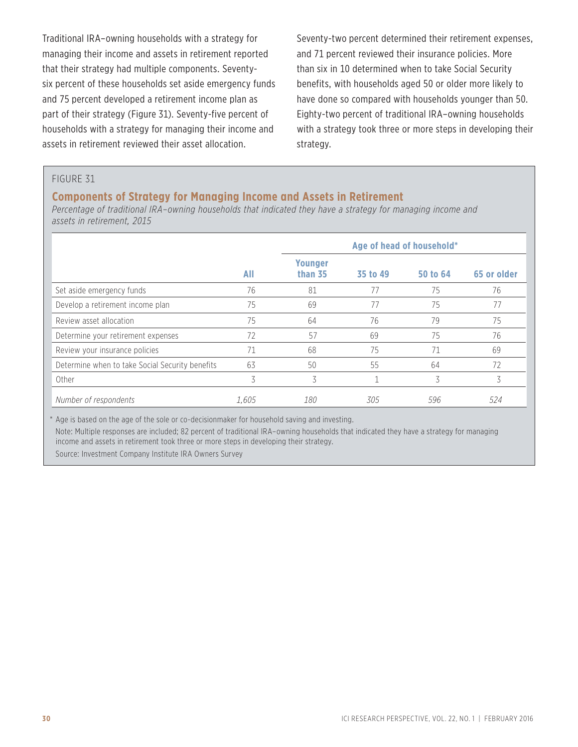Traditional IRA–owning households with a strategy for managing their income and assets in retirement reported that their strategy had multiple components. Seventysix percent of these households set aside emergency funds and 75 percent developed a retirement income plan as part of their strategy (Figure 31). Seventy-five percent of households with a strategy for managing their income and assets in retirement reviewed their asset allocation.

Seventy-two percent determined their retirement expenses, and 71 percent reviewed their insurance policies. More than six in 10 determined when to take Social Security benefits, with households aged 50 or older more likely to have done so compared with households younger than 50. Eighty-two percent of traditional IRA–owning households with a strategy took three or more steps in developing their strategy.

#### FIGURE 31

### **Components of Strategy for Managing Income and Assets in Retirement**

*Percentage of traditional IRA–owning households that indicated they have a strategy for managing income and assets in retirement, 2015*

|                                                 |       | Age of head of household* |          |          |             |  |
|-------------------------------------------------|-------|---------------------------|----------|----------|-------------|--|
|                                                 | All   | <b>Younger</b><br>than 35 | 35 to 49 | 50 to 64 | 65 or older |  |
| Set aside emergency funds                       | 76    | 81                        | 77       | 75       | 76          |  |
| Develop a retirement income plan                | 75    | 69                        | 77       | 75       | 77          |  |
| Review asset allocation                         | 75    | 64                        | 76       | 79       | 75          |  |
| Determine your retirement expenses              | 72    | 57                        | 69       | 75       | 76          |  |
| Review your insurance policies                  | 71    | 68                        | 75       | 71       | 69          |  |
| Determine when to take Social Security benefits | 63    | 50                        | 55       | 64       | 72          |  |
| Other                                           | 3     | 3                         |          | 3        | 3           |  |
| Number of respondents                           | 1.605 | 180                       | 305      | 596      | 524         |  |

\* Age is based on the age of the sole or co-decisionmaker for household saving and investing. Note: Multiple responses are included; 82 percent of traditional IRA–owning households that indicated they have a strategy for managing income and assets in retirement took three or more steps in developing their strategy. Source: Investment Company Institute IRA Owners Survey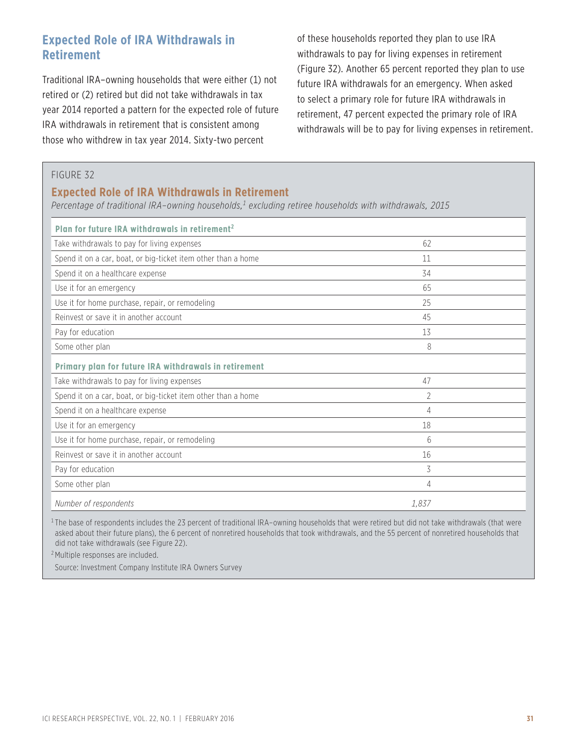### **Expected Role of IRA Withdrawals in Retirement**

Traditional IRA–owning households that were either (1) not retired or (2) retired but did not take withdrawals in tax year 2014 reported a pattern for the expected role of future IRA withdrawals in retirement that is consistent among those who withdrew in tax year 2014. Sixty-two percent

of these households reported they plan to use IRA withdrawals to pay for living expenses in retirement (Figure 32). Another 65 percent reported they plan to use future IRA withdrawals for an emergency. When asked to select a primary role for future IRA withdrawals in retirement, 47 percent expected the primary role of IRA withdrawals will be to pay for living expenses in retirement.

#### FIGURE 32

### **Expected Role of IRA Withdrawals in Retirement**

Percentage of traditional IRA–owning households,<sup>1</sup> excluding retiree households with withdrawals, 2015

| Plan for future IRA withdrawals in retirement <sup>2</sup>    |       |  |
|---------------------------------------------------------------|-------|--|
| Take withdrawals to pay for living expenses                   | 62    |  |
| Spend it on a car, boat, or big-ticket item other than a home | 11    |  |
| Spend it on a healthcare expense                              | 34    |  |
| Use it for an emergency                                       | 65    |  |
| Use it for home purchase, repair, or remodeling               | 25    |  |
| Reinvest or save it in another account                        | 45    |  |
| Pay for education                                             | 13    |  |
| Some other plan                                               | 8     |  |
| Primary plan for future IRA withdrawals in retirement         |       |  |
| Take withdrawals to pay for living expenses                   | 47    |  |
| Spend it on a car, boat, or big-ticket item other than a home | 2     |  |
| Spend it on a healthcare expense                              | 4     |  |
| Use it for an emergency                                       | 18    |  |
| Use it for home purchase, repair, or remodeling               | 6     |  |
| Reinvest or save it in another account                        | 16    |  |
| Pay for education                                             | 3     |  |
| Some other plan                                               | 4     |  |
| Number of respondents                                         | 1.837 |  |

 $1$ The base of respondents includes the 23 percent of traditional IRA–owning households that were retired but did not take withdrawals (that were asked about their future plans), the 6 percent of nonretired households that took withdrawals, and the 55 percent of nonretired households that did not take withdrawals (see Figure 22).

<sup>2</sup> Multiple responses are included.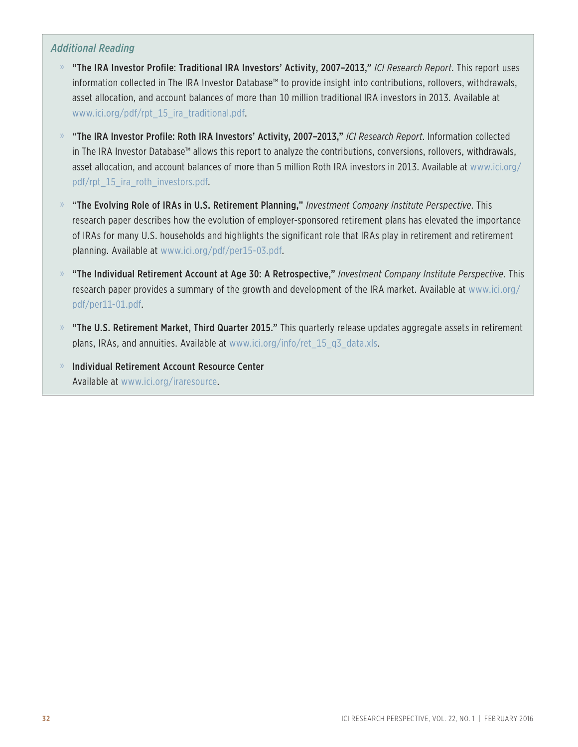### *Additional Reading*

- » "The IRA Investor Profile: Traditional IRA Investors' Activity, 2007–2013," *ICI Research Report*. This report uses information collected in The IRA Investor Database™ to provide insight into contributions, rollovers, withdrawals, asset allocation, and account balances of more than 10 million traditional IRA investors in 2013. Available at www.ici.org/pdf/rpt\_15\_ira\_traditional.pdf.
- » "The IRA Investor Profile: Roth IRA Investors' Activity, 2007–2013," *ICI Research Report*. Information collected in The IRA Investor Database™ allows this report to analyze the contributions, conversions, rollovers, withdrawals, asset allocation, and account balances of more than 5 million Roth IRA investors in 2013. Available at www.ici.org/ pdf/rpt 15 ira roth investors.pdf.
- » "The Evolving Role of IRAs in U.S. Retirement Planning," *Investment Company Institute Perspective*. This research paper describes how the evolution of employer-sponsored retirement plans has elevated the importance of IRAs for many U.S. households and highlights the significant role that IRAs play in retirement and retirement planning. Available at www.ici.org/pdf/per15-03.pdf.
- » "The Individual Retirement Account at Age 30: A Retrospective," *Investment Company Institute Perspective*. This research paper provides a summary of the growth and development of the IRA market. Available at www.ici.org/ pdf/per11-01.pdf.
- $\%$  "The U.S. Retirement Market, Third Quarter 2015." This quarterly release updates aggregate assets in retirement plans, IRAs, and annuities. Available at www.ici.org/info/ret\_15\_q3\_data.xls.
- » Individual Retirement Account Resource Center Available at www.ici.org/iraresource.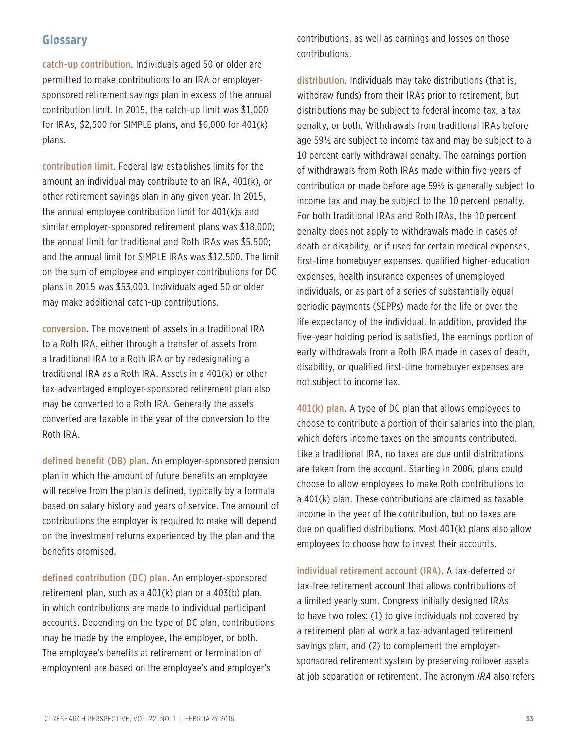### **Glossary**

catch-up contribution. Individuals aged 50 or older are permitted to make contributions to an IRA or employersponsored retirement savings plan in excess of the annual contribution limit. In 2015, the catch-up limit was \$1,000 for IRAs, \$2,500 for SIMPLE plans, and \$6,000 for 401(k) plans.

contribution limit. Federal law establishes limits for the amount an individual may contribute to an IRA, 401(k), or other retirement savings plan in any given year. In 2015, the annual employee contribution limit for 401(k)s and similar employer-sponsored retirement plans was \$18,000; the annual limit for traditional and Roth IRAs was \$5,500; and the annual limit for SIMPLE IRAs was \$12,500. The limit on the sum of employee and employer contributions for DC plans in 2015 was \$53,000. Individuals aged 50 or older may make additional catch-up contributions.

conversion. The movement of assets in a traditional IRA to a Roth IRA, either through a transfer of assets from a traditional IRA to a Roth IRA or by redesignating a traditional IRA as a Roth IRA. Assets in a 401(k) or other tax-advantaged employer-sponsored retirement plan also may be converted to a Roth IRA. Generally the assets converted are taxable in the year of the conversion to the Roth IRA.

defined benefit (DB) plan. An employer-sponsored pension plan in which the amount of future benefits an employee will receive from the plan is defined, typically by a formula based on salary history and years of service. The amount of contributions the employer is required to make will depend on the investment returns experienced by the plan and the benefits promised.

defined contribution (DC) plan. An employer-sponsored retirement plan, such as a 401(k) plan or a 403(b) plan, in which contributions are made to individual participant accounts. Depending on the type of DC plan, contributions may be made by the employee, the employer, or both. The employee's benefits at retirement or termination of employment are based on the employee's and employer's

contributions, as well as earnings and losses on those contributions.

distribution. Individuals may take distributions (that is, withdraw funds) from their IRAs prior to retirement, but distributions may be subject to federal income tax, a tax penalty, or both. Withdrawals from traditional IRAs before age 59½ are subject to income tax and may be subject to a 10 percent early withdrawal penalty. The earnings portion of withdrawals from Roth IRAs made within five years of contribution or made before age 59½ is generally subject to income tax and may be subject to the 10 percent penalty. For both traditional IRAs and Roth IRAs, the 10 percent penalty does not apply to withdrawals made in cases of death or disability, or if used for certain medical expenses, first-time homebuyer expenses, qualified higher-education expenses, health insurance expenses of unemployed individuals, or as part of a series of substantially equal periodic payments (SEPPs) made for the life or over the life expectancy of the individual. In addition, provided the five-year holding period is satisfied, the earnings portion of early withdrawals from a Roth IRA made in cases of death, disability, or qualified first-time homebuyer expenses are not subject to income tax.

401(k) plan. A type of DC plan that allows employees to choose to contribute a portion of their salaries into the plan, which defers income taxes on the amounts contributed. Like a traditional IRA, no taxes are due until distributions are taken from the account. Starting in 2006, plans could choose to allow employees to make Roth contributions to a 401(k) plan. These contributions are claimed as taxable income in the year of the contribution, but no taxes are due on qualified distributions. Most 401(k) plans also allow employees to choose how to invest their accounts.

individual retirement account (IRA). A tax-deferred or tax-free retirement account that allows contributions of a limited yearly sum. Congress initially designed IRAs to have two roles: (1) to give individuals not covered by a retirement plan at work a tax-advantaged retirement savings plan, and (2) to complement the employersponsored retirement system by preserving rollover assets at job separation or retirement. The acronym *IRA* also refers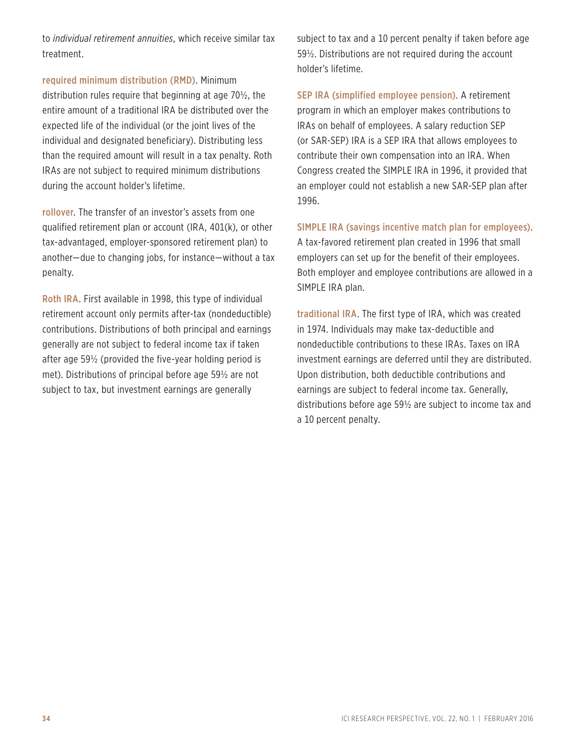to *individual retirement annuities*, which receive similar tax treatment.

required minimum distribution (RMD). Minimum distribution rules require that beginning at age 70½, the entire amount of a traditional IRA be distributed over the expected life of the individual (or the joint lives of the individual and designated beneficiary). Distributing less than the required amount will result in a tax penalty. Roth IRAs are not subject to required minimum distributions during the account holder's lifetime.

rollover. The transfer of an investor's assets from one qualified retirement plan or account (IRA, 401(k), or other tax-advantaged, employer-sponsored retirement plan) to another—due to changing jobs, for instance—without a tax penalty.

Roth IRA. First available in 1998, this type of individual retirement account only permits after-tax (nondeductible) contributions. Distributions of both principal and earnings generally are not subject to federal income tax if taken after age 59½ (provided the five-year holding period is met). Distributions of principal before age 59½ are not subject to tax, but investment earnings are generally

subject to tax and a 10 percent penalty if taken before age 59½. Distributions are not required during the account holder's lifetime.

SEP IRA (simplified employee pension). A retirement program in which an employer makes contributions to IRAs on behalf of employees. A salary reduction SEP (or SAR-SEP) IRA is a SEP IRA that allows employees to contribute their own compensation into an IRA. When Congress created the SIMPLE IRA in 1996, it provided that an employer could not establish a new SAR-SEP plan after 1996.

SIMPLE IRA (savings incentive match plan for employees).

A tax-favored retirement plan created in 1996 that small employers can set up for the benefit of their employees. Both employer and employee contributions are allowed in a SIMPLE IRA plan.

traditional IRA. The first type of IRA, which was created in 1974. Individuals may make tax-deductible and nondeductible contributions to these IRAs. Taxes on IRA investment earnings are deferred until they are distributed. Upon distribution, both deductible contributions and earnings are subject to federal income tax. Generally, distributions before age 59½ are subject to income tax and a 10 percent penalty.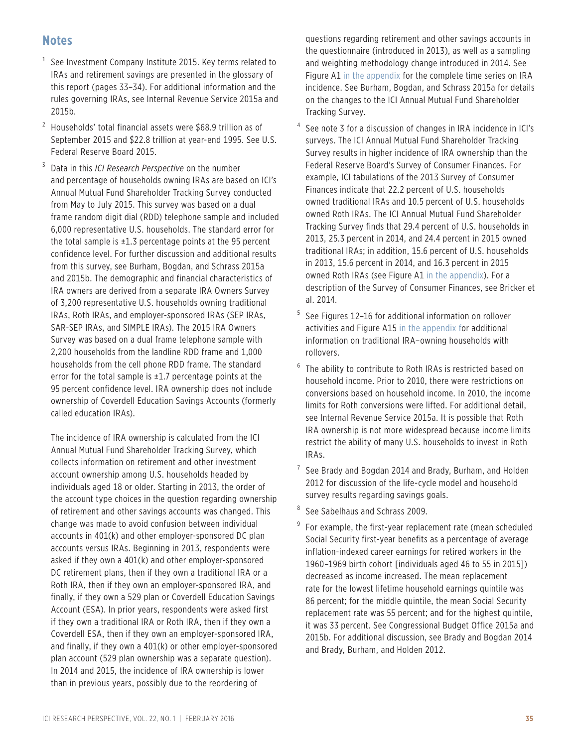### **Notes**

- $1$  See Investment Company Institute 2015. Key terms related to IRAs and retirement savings are presented in the glossary of this report (pages 33–34). For additional information and the rules governing IRAs, see Internal Revenue Service 2015a and 2015b.
- <sup>2</sup> Households' total financial assets were \$68.9 trillion as of September 2015 and \$22.8 trillion at year-end 1995. See U.S. Federal Reserve Board 2015.
- <sup>3</sup> Data in this *ICI Research Perspective* on the number and percentage of households owning IRAs are based on ICI's Annual Mutual Fund Shareholder Tracking Survey conducted from May to July 2015. This survey was based on a dual frame random digit dial (RDD) telephone sample and included 6,000 representative U.S. households. The standard error for the total sample is  $\pm 1.3$  percentage points at the 95 percent confidence level. For further discussion and additional results from this survey, see Burham, Bogdan, and Schrass 2015a and 2015b. The demographic and financial characteristics of IRA owners are derived from a separate IRA Owners Survey of 3,200 representative U.S. households owning traditional IRAs, Roth IRAs, and employer-sponsored IRAs (SEP IRAs, SAR-SEP IRAs, and SIMPLE IRAs). The 2015 IRA Owners Survey was based on a dual frame telephone sample with 2,200 households from the landline RDD frame and 1,000 households from the cell phone RDD frame. The standard error for the total sample is  $\pm 1.7$  percentage points at the 95 percent confidence level. IRA ownership does not include ownership of Coverdell Education Savings Accounts (formerly called education IRAs).

The incidence of IRA ownership is calculated from the ICI Annual Mutual Fund Shareholder Tracking Survey, which collects information on retirement and other investment account ownership among U.S. households headed by individuals aged 18 or older. Starting in 2013, the order of the account type choices in the question regarding ownership of retirement and other savings accounts was changed. This change was made to avoid confusion between individual accounts in 401(k) and other employer-sponsored DC plan accounts versus IRAs. Beginning in 2013, respondents were asked if they own a 401(k) and other employer-sponsored DC retirement plans, then if they own a traditional IRA or a Roth IRA, then if they own an employer-sponsored IRA, and finally, if they own a 529 plan or Coverdell Education Savings Account (ESA). In prior years, respondents were asked first if they own a traditional IRA or Roth IRA, then if they own a Coverdell ESA, then if they own an employer-sponsored IRA, and finally, if they own a 401(k) or other employer-sponsored plan account (529 plan ownership was a separate question). In 2014 and 2015, the incidence of IRA ownership is lower than in previous years, possibly due to the reordering of

questions regarding retirement and other savings accounts in the questionnaire (introduced in 2013), as well as a sampling and weighting methodology change introduced in 2014. See Figure A[1 in the appendix f](https://www.ici.org/pdf/per22-01a.pdf)or the complete time series on IRA incidence. See Burham, Bogdan, and Schrass 2015a for details on the changes to the ICI Annual Mutual Fund Shareholder Tracking Survey.

- <sup>4</sup> See note 3 for a discussion of changes in IRA incidence in ICI's surveys. The ICI Annual Mutual Fund Shareholder Tracking Survey results in higher incidence of IRA ownership than the Federal Reserve Board's Survey of Consumer Finances. For example, ICI tabulations of the 2013 Survey of Consumer Finances indicate that 22.2 percent of U.S. households owned traditional IRAs and 10.5 percent of U.S. households owned Roth IRAs. The ICI Annual Mutual Fund Shareholder Tracking Survey finds that 29.4 percent of U.S. households in 2013, 25.3 percent in 2014, and 24.4 percent in 2015 owned traditional IRAs; in addition, 15.6 percent of U.S. households in 2013, 15.6 percent in 2014, and 16.3 percent in 2015 owned Roth IRAs (see Figure A1 [in the appendix\).](https://www.ici.org/pdf/per22-01a.pdf) For a description of the Survey of Consumer Finances, see Bricker et al. 2014.
- <sup>5</sup> See Figures 12–16 for additional information on rollover activities and Figure A1[5 in the appendix](https://www.ici.org/pdf/per22-01a.pdf) for additional information on traditional IRA–owning households with rollovers.
- <sup>6</sup> The ability to contribute to Roth IRAs is restricted based on household income. Prior to 2010, there were restrictions on conversions based on household income. In 2010, the income limits for Roth conversions were lifted. For additional detail, see Internal Revenue Service 2015a. It is possible that Roth IRA ownership is not more widespread because income limits restrict the ability of many U.S. households to invest in Roth IRAs.
- $7$  See Brady and Bogdan 2014 and Brady, Burham, and Holden 2012 for discussion of the life-cycle model and household survey results regarding savings goals.
- <sup>8</sup> See Sabelhaus and Schrass 2009.
- $9$  For example, the first-year replacement rate (mean scheduled Social Security first-year benefits as a percentage of average inflation-indexed career earnings for retired workers in the 1960–1969 birth cohort [individuals aged 46 to 55 in 2015]) decreased as income increased. The mean replacement rate for the lowest lifetime household earnings quintile was 86 percent; for the middle quintile, the mean Social Security replacement rate was 55 percent; and for the highest quintile, it was 33 percent. See Congressional Budget Office 2015a and 2015b. For additional discussion, see Brady and Bogdan 2014 and Brady, Burham, and Holden 2012.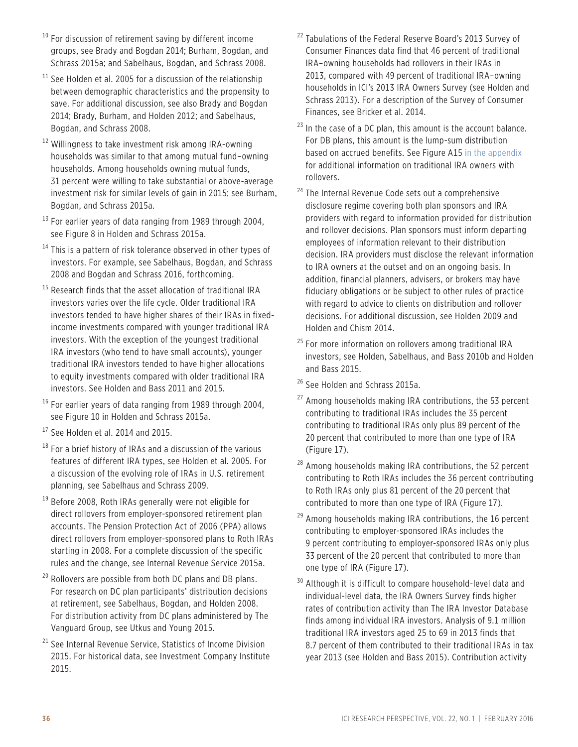- $10$  For discussion of retirement saving by different income groups, see Brady and Bogdan 2014; Burham, Bogdan, and Schrass 2015a; and Sabelhaus, Bogdan, and Schrass 2008.
- $11$  See Holden et al. 2005 for a discussion of the relationship between demographic characteristics and the propensity to save. For additional discussion, see also Brady and Bogdan 2014; Brady, Burham, and Holden 2012; and Sabelhaus, Bogdan, and Schrass 2008.
- <sup>12</sup> Willingness to take investment risk among IRA-owning households was similar to that among mutual fund–owning households. Among households owning mutual funds, 31 percent were willing to take substantial or above-average investment risk for similar levels of gain in 2015; see Burham, Bogdan, and Schrass 2015a.
- $13$  For earlier years of data ranging from 1989 through 2004, see Figure 8 in Holden and Schrass 2015a.
- $14$  This is a pattern of risk tolerance observed in other types of investors. For example, see Sabelhaus, Bogdan, and Schrass 2008 and Bogdan and Schrass 2016, forthcoming.
- <sup>15</sup> Research finds that the asset allocation of traditional IRA investors varies over the life cycle. Older traditional IRA investors tended to have higher shares of their IRAs in fixedincome investments compared with younger traditional IRA investors. With the exception of the youngest traditional IRA investors (who tend to have small accounts), younger traditional IRA investors tended to have higher allocations to equity investments compared with older traditional IRA investors. See Holden and Bass 2011 and 2015.
- $16$  For earlier years of data ranging from 1989 through 2004, see Figure 10 in Holden and Schrass 2015a.
- <sup>17</sup> See Holden et al. 2014 and 2015.
- $18$  For a brief history of IRAs and a discussion of the various features of different IRA types, see Holden et al. 2005. For a discussion of the evolving role of IRAs in U.S. retirement planning, see Sabelhaus and Schrass 2009.
- <sup>19</sup> Before 2008, Roth IRAs generally were not eligible for direct rollovers from employer-sponsored retirement plan accounts. The Pension Protection Act of 2006 (PPA) allows direct rollovers from employer-sponsored plans to Roth IRAs starting in 2008. For a complete discussion of the specific rules and the change, see Internal Revenue Service 2015a.
- $20$  Rollovers are possible from both DC plans and DB plans. For research on DC plan participants' distribution decisions at retirement, see Sabelhaus, Bogdan, and Holden 2008. For distribution activity from DC plans administered by The Vanguard Group, see Utkus and Young 2015.
- <sup>21</sup> See Internal Revenue Service, Statistics of Income Division 2015. For historical data, see Investment Company Institute 2015.
- <sup>22</sup> Tabulations of the Federal Reserve Board's 2013 Survey of Consumer Finances data find that 46 percent of traditional IRA–owning households had rollovers in their IRAs in 2013, compared with 49 percent of traditional IRA–owning households in ICI's 2013 IRA Owners Survey (see Holden and Schrass 2013). For a description of the Survey of Consumer Finances, see Bricker et al. 2014.
- $23$  In the case of a DC plan, this amount is the account balance. For DB plans, this amount is the lump-sum distribution based on accrued benefits. See Figure A15 [in the appendix](https://www.ici.org/pdf/per22-01a.pdf) for additional information on traditional IRA owners with rollovers.
- <sup>24</sup> The Internal Revenue Code sets out a comprehensive disclosure regime covering both plan sponsors and IRA providers with regard to information provided for distribution and rollover decisions. Plan sponsors must inform departing employees of information relevant to their distribution decision. IRA providers must disclose the relevant information to IRA owners at the outset and on an ongoing basis. In addition, financial planners, advisers, or brokers may have fiduciary obligations or be subject to other rules of practice with regard to advice to clients on distribution and rollover decisions. For additional discussion, see Holden 2009 and Holden and Chism 2014.
- <sup>25</sup> For more information on rollovers among traditional IRA investors, see Holden, Sabelhaus, and Bass 2010b and Holden and Bass 2015.
- <sup>26</sup> See Holden and Schrass 2015a.
- $27$  Among households making IRA contributions, the 53 percent contributing to traditional IRAs includes the 35 percent contributing to traditional IRAs only plus 89 percent of the 20 percent that contributed to more than one type of IRA (Figure 17).
- <sup>28</sup> Among households making IRA contributions, the 52 percent contributing to Roth IRAs includes the 36 percent contributing to Roth IRAs only plus 81 percent of the 20 percent that contributed to more than one type of IRA (Figure 17).
- $29$  Among households making IRA contributions, the 16 percent contributing to employer-sponsored IRAs includes the 9 percent contributing to employer-sponsored IRAs only plus 33 percent of the 20 percent that contributed to more than one type of IRA (Figure 17).
- <sup>30</sup> Although it is difficult to compare household-level data and individual-level data, the IRA Owners Survey finds higher rates of contribution activity than The IRA Investor Database finds among individual IRA investors. Analysis of 9.1 million traditional IRA investors aged 25 to 69 in 2013 finds that 8.7 percent of them contributed to their traditional IRAs in tax year 2013 (see Holden and Bass 2015). Contribution activity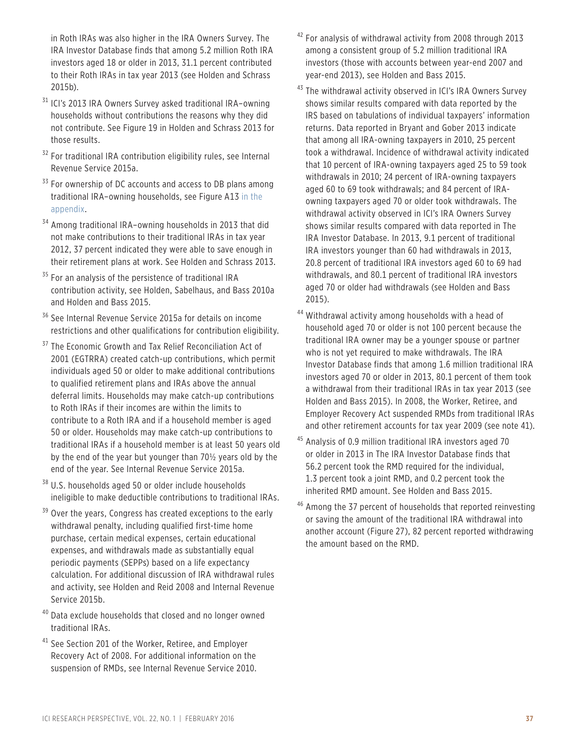in Roth IRAs was also higher in the IRA Owners Survey. The IRA Investor Database finds that among 5.2 million Roth IRA investors aged 18 or older in 2013, 31.1 percent contributed to their Roth IRAs in tax year 2013 (see Holden and Schrass 2015b).

- <sup>31</sup> ICI's 2013 IRA Owners Survey asked traditional IRA-owning households without contributions the reasons why they did not contribute. See Figure 19 in Holden and Schrass 2013 for those results.
- <sup>32</sup> For traditional IRA contribution eligibility rules, see Internal Revenue Service 2015a.
- $33$  For ownership of DC accounts and access to DB plans among [traditional IRA–owning households, see Figure A13 in the](https://www.ici.org/pdf/per22-01a.pdf)  appendix.
- <sup>34</sup> Among traditional IRA–owning households in 2013 that did not make contributions to their traditional IRAs in tax year 2012, 37 percent indicated they were able to save enough in their retirement plans at work. See Holden and Schrass 2013.
- <sup>35</sup> For an analysis of the persistence of traditional IRA contribution activity, see Holden, Sabelhaus, and Bass 2010a and Holden and Bass 2015.
- <sup>36</sup> See Internal Revenue Service 2015a for details on income restrictions and other qualifications for contribution eligibility.
- <sup>37</sup> The Economic Growth and Tax Relief Reconciliation Act of 2001 (EGTRRA) created catch-up contributions, which permit individuals aged 50 or older to make additional contributions to qualified retirement plans and IRAs above the annual deferral limits. Households may make catch-up contributions to Roth IRAs if their incomes are within the limits to contribute to a Roth IRA and if a household member is aged 50 or older. Households may make catch-up contributions to traditional IRAs if a household member is at least 50 years old by the end of the year but younger than 70½ years old by the end of the year. See Internal Revenue Service 2015a.
- <sup>38</sup> U.S. households aged 50 or older include households ineligible to make deductible contributions to traditional IRAs.
- <sup>39</sup> Over the years, Congress has created exceptions to the early withdrawal penalty, including qualified first-time home purchase, certain medical expenses, certain educational expenses, and withdrawals made as substantially equal periodic payments (SEPPs) based on a life expectancy calculation. For additional discussion of IRA withdrawal rules and activity, see Holden and Reid 2008 and Internal Revenue Service 2015b.
- <sup>40</sup> Data exclude households that closed and no longer owned traditional IRAs.
- <sup>41</sup> See Section 201 of the Worker, Retiree, and Employer Recovery Act of 2008. For additional information on the suspension of RMDs, see Internal Revenue Service 2010.
- $42$  For analysis of withdrawal activity from 2008 through 2013 among a consistent group of 5.2 million traditional IRA investors (those with accounts between year-end 2007 and year-end 2013), see Holden and Bass 2015.
- 43 The withdrawal activity observed in ICI's IRA Owners Survey shows similar results compared with data reported by the IRS based on tabulations of individual taxpayers' information returns. Data reported in Bryant and Gober 2013 indicate that among all IRA-owning taxpayers in 2010, 25 percent took a withdrawal. Incidence of withdrawal activity indicated that 10 percent of IRA-owning taxpayers aged 25 to 59 took withdrawals in 2010; 24 percent of IRA-owning taxpayers aged 60 to 69 took withdrawals; and 84 percent of IRAowning taxpayers aged 70 or older took withdrawals. The withdrawal activity observed in ICI's IRA Owners Survey shows similar results compared with data reported in The IRA Investor Database. In 2013, 9.1 percent of traditional IRA investors younger than 60 had withdrawals in 2013, 20.8 percent of traditional IRA investors aged 60 to 69 had withdrawals, and 80.1 percent of traditional IRA investors aged 70 or older had withdrawals (see Holden and Bass 2015).
- <sup>44</sup> Withdrawal activity among households with a head of household aged 70 or older is not 100 percent because the traditional IRA owner may be a younger spouse or partner who is not yet required to make withdrawals. The IRA Investor Database finds that among 1.6 million traditional IRA investors aged 70 or older in 2013, 80.1 percent of them took a withdrawal from their traditional IRAs in tax year 2013 (see Holden and Bass 2015). In 2008, the Worker, Retiree, and Employer Recovery Act suspended RMDs from traditional IRAs and other retirement accounts for tax year 2009 (see note 41).
- <sup>45</sup> Analysis of 0.9 million traditional IRA investors aged 70 or older in 2013 in The IRA Investor Database finds that 56.2 percent took the RMD required for the individual, 1.3 percent took a joint RMD, and 0.2 percent took the inherited RMD amount. See Holden and Bass 2015.
- <sup>46</sup> Among the 37 percent of households that reported reinvesting or saving the amount of the traditional IRA withdrawal into another account (Figure 27), 82 percent reported withdrawing the amount based on the RMD.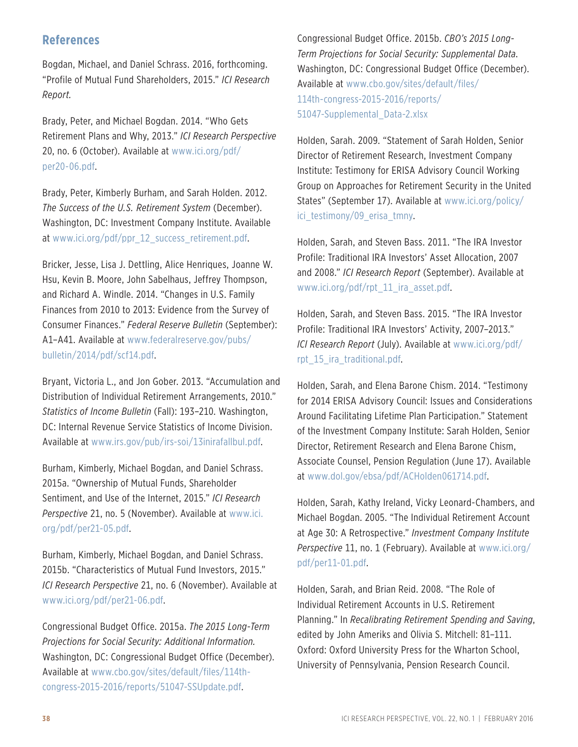### **References**

Bogdan, Michael, and Daniel Schrass. 2016, forthcoming. "Profile of Mutual Fund Shareholders, 2015." *ICI Research Report.*

Brady, Peter, and Michael Bogdan. 2014. "Who Gets Retirement Plans and Why, 2013." *ICI Research Perspective*  20, no. 6 (October). Available at www.ici.org/pdf/ per20-06.pdf.

Brady, Peter, Kimberly Burham, and Sarah Holden. 2012. *The Success of the U.S. Retirement System* (December). Washington, DC: Investment Company Institute. Available at www.ici.org/pdf/ppr\_12\_success\_retirement.pdf.

Bricker, Jesse, Lisa J. Dettling, Alice Henriques, Joanne W. Hsu, Kevin B. Moore, John Sabelhaus, Jeffrey Thompson, and Richard A. Windle. 2014. "Changes in U.S. Family Finances from 2010 to 2013: Evidence from the Survey of Consumer Finances." *Federal Reserve Bulletin* (September): A1–A41. Available at www.federalreserve.gov/pubs/ bulletin/2014/pdf/scf14.pdf.

Bryant, Victoria L., and Jon Gober. 2013. "Accumulation and Distribution of Individual Retirement Arrangements, 2010." *Statistics of Income Bulletin* (Fall): 193–210. Washington, DC: Internal Revenue Service Statistics of Income Division. Available at www.irs.gov/pub/irs-soi/13inirafallbul.pdf.

Burham, Kimberly, Michael Bogdan, and Daniel Schrass. 2015a. "Ownership of Mutual Funds, Shareholder Sentiment, and Use of the Internet, 2015." *ICI Research Perspective* 21, no. 5 (November). Available at www.ici. org/pdf/per21-05.pdf.

Burham, Kimberly, Michael Bogdan, and Daniel Schrass. 2015b. "Characteristics of Mutual Fund Investors, 2015." *ICI Research Perspective* 21, no. 6 (November). Available at www.ici.org/pdf/per21-06.pdf.

Congressional Budget Office. 2015a. *The 2015 Long-Term Projections for Social Security: Additional Information.*  Washington, DC: Congressional Budget Office (December). Available at www.cbo.gov/sites/default/files/114thcongress-2015-2016/reports/51047-SSUpdate.pdf.

Congressional Budget Office. 2015b. *CBO's 2015 Long-Term Projections for Social Security: Supplemental Data*. Washington, DC: Congressional Budget Office (December). Available at www.cbo.gov/sites/default/files/ 114th-congress-2015-2016/reports/ 51047-Supplemental\_Data-2.xlsx

Holden, Sarah. 2009. "Statement of Sarah Holden, Senior Director of Retirement Research, Investment Company Institute: Testimony for ERISA Advisory Council Working Group on Approaches for Retirement Security in the United States" (September 17). Available at www.ici.org/policy/ ici testimony/09 erisa tmny.

Holden, Sarah, and Steven Bass. 2011. "The IRA Investor Profile: Traditional IRA Investors' Asset Allocation, 2007 and 2008." *ICI Research Report* (September). Available at www.ici.org/pdf/rpt\_11\_ira\_asset.pdf.

Holden, Sarah, and Steven Bass. 2015. "The IRA Investor Profile: Traditional IRA Investors' Activity, 2007–2013." *ICI Research Report* (July). Available at www.ici.org/pdf/ rpt\_15\_ira\_traditional.pdf.

Holden, Sarah, and Elena Barone Chism. 2014. "Testimony for 2014 ERISA Advisory Council: Issues and Considerations Around Facilitating Lifetime Plan Participation." Statement of the Investment Company Institute: Sarah Holden, Senior Director, Retirement Research and Elena Barone Chism, Associate Counsel, Pension Regulation (June 17). Available at www.dol.gov/ebsa/pdf/ACHolden061714.pdf.

Holden, Sarah, Kathy Ireland, Vicky Leonard-Chambers, and Michael Bogdan. 2005. "The Individual Retirement Account at Age 30: A Retrospective." *Investment Company Institute Perspective* 11, no. 1 (February). Available at www.ici.org/ pdf/per11-01.pdf.

Holden, Sarah, and Brian Reid. 2008. "The Role of Individual Retirement Accounts in U.S. Retirement Planning." In *Recalibrating Retirement Spending and Saving*, edited by John Ameriks and Olivia S. Mitchell: 81–111. Oxford: Oxford University Press for the Wharton School, University of Pennsylvania, Pension Research Council.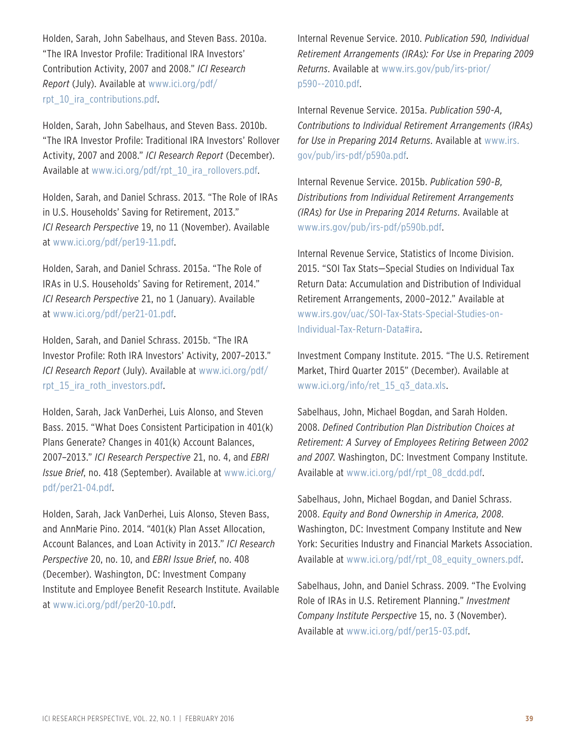Holden, Sarah, John Sabelhaus, and Steven Bass. 2010a. "The IRA Investor Profile: Traditional IRA Investors' Contribution Activity, 2007 and 2008." *ICI Research Report* (July). Available at www.ici.org/pdf/ rpt\_10\_ira\_contributions.pdf.

Holden, Sarah, John Sabelhaus, and Steven Bass. 2010b. "The IRA Investor Profile: Traditional IRA Investors' Rollover Activity, 2007 and 2008." *ICI Research Report* (December). Available at www.ici.org/pdf/rpt\_10\_ira\_rollovers.pdf.

Holden, Sarah, and Daniel Schrass. 2013. "The Role of IRAs in U.S. Households' Saving for Retirement, 2013." *ICI Research Perspective* 19, no 11 (November). Available at www.ici.org/pdf/per19-11.pdf.

Holden, Sarah, and Daniel Schrass. 2015a. "The Role of IRAs in U.S. Households' Saving for Retirement, 2014." *ICI Research Perspective* 21, no 1 (January). Available at www.ici.org/pdf/per21-01.pdf.

Holden, Sarah, and Daniel Schrass. 2015b. "The IRA Investor Profile: Roth IRA Investors' Activity, 2007–2013." *ICI Research Report* (July). Available at www.ici.org/pdf/ rpt 15 ira roth investors.pdf.

Holden, Sarah, Jack VanDerhei, Luis Alonso, and Steven Bass. 2015. "What Does Consistent Participation in 401(k) Plans Generate? Changes in 401(k) Account Balances, 2007–2013." *ICI Research Perspective* 21, no. 4, and *EBRI Issue Brief*, no. 418 (September). Available at www.ici.org/ pdf/per21-04.pdf.

Holden, Sarah, Jack VanDerhei, Luis Alonso, Steven Bass, and AnnMarie Pino. 2014. "401(k) Plan Asset Allocation, Account Balances, and Loan Activity in 2013." *ICI Research Perspective* 20, no. 10, and *EBRI Issue Brief*, no. 408 (December). Washington, DC: Investment Company Institute and Employee Benefit Research Institute. Available at www.ici.org/pdf/per20-10.pdf.

Internal Revenue Service. 2010. *Publication 590, Individual Retirement Arrangements (IRAs): For Use in Preparing 2009 Returns*. Available at www.irs.gov/pub/irs-prior/ p590--2010.pdf.

Internal Revenue Service. 2015a. *Publication 590-A, Contributions to Individual Retirement Arrangements (IRAs) for Use in Preparing 2014 Returns*. Available at www.irs. gov/pub/irs-pdf/p590a.pdf.

Internal Revenue Service. 2015b. *Publication 590-B, Distributions from Individual Retirement Arrangements (IRAs) for Use in Preparing 2014 Returns*. Available at www.irs.gov/pub/irs-pdf/p590b.pdf.

Internal Revenue Service, Statistics of Income Division. 2015. "SOI Tax Stats—Special Studies on Individual Tax Return Data: Accumulation and Distribution of Individual Retirement Arrangements, 2000–2012." Available at www.irs.gov/uac/SOI-Tax-Stats-Special-Studies-on-Individual-Tax-Return-Data#ira.

Investment Company Institute. 2015. "The U.S. Retirement Market, Third Quarter 2015" (December). Available at www.ici.org/info/ret\_15\_q3\_data.xls.

Sabelhaus, John, Michael Bogdan, and Sarah Holden. 2008. *Defined Contribution Plan Distribution Choices at Retirement: A Survey of Employees Retiring Between 2002 and 2007*. Washington, DC: Investment Company Institute. Available at www.ici.org/pdf/rpt\_08\_dcdd.pdf.

Sabelhaus, John, Michael Bogdan, and Daniel Schrass. 2008. *Equity and Bond Ownership in America, 2008*. Washington, DC: Investment Company Institute and New York: Securities Industry and Financial Markets Association. Available at www.ici.org/pdf/rpt\_08\_equity\_owners.pdf.

Sabelhaus, John, and Daniel Schrass. 2009. "The Evolving Role of IRAs in U.S. Retirement Planning." *Investment Company Institute Perspective* 15, no. 3 (November). Available at www.ici.org/pdf/per15-03.pdf.